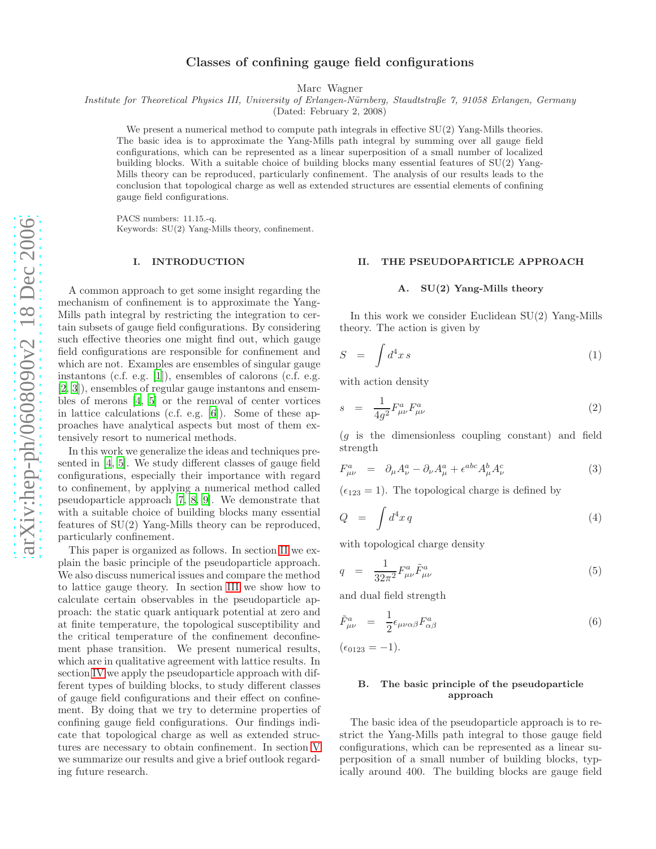# Classes of confining gauge field configurations

Marc Wagner

*Institute for Theoretical Physics III, University of Erlangen-N¨urnberg, Staudtstraße 7, 91058 Erlangen, Germany*

(Dated: February 2, 2008)

We present a numerical method to compute path integrals in effective  $SU(2)$  Yang-Mills theories. The basic idea is to approximate the Yang-Mills path integral by summing over all gauge field configurations, which can be represented as a linear superposition of a small number of localized building blocks. With a suitable choice of building blocks many essential features of SU(2) Yang-Mills theory can be reproduced, particularly confinement. The analysis of our results leads to the conclusion that topological charge as well as extended structures are essential elements of confining gauge field configurations.

PACS numbers: 11.15.-q. Keywords: SU(2) Yang-Mills theory, confinement.

#### I. INTRODUCTION

A common approach to get some insight regarding the mechanism of confinement is to approximate the Yang-Mills path integral by restricting the integration to certain subsets of gauge field configurations. By considering such effective theories one might find out, which gauge field configurations are responsible for confinement and which are not. Examples are ensembles of singular gauge instantons (c.f. e.g. [\[1\]](#page-17-0)), ensembles of calorons (c.f. e.g . [\[2,](#page-17-1) [3](#page-17-2)]), ensembles of regular gauge instantons and ensembles of merons [\[4,](#page-17-3) [5](#page-17-4)] or the removal of center vortices in lattice calculations (c.f. e.g. [\[6\]](#page-17-5)). Some of these approaches have analytical aspects but most of them extensively resort to numerical methods.

In this work we generalize the ideas and techniques presented in [\[4](#page-17-3), [5](#page-17-4)]. We study different classes of gauge field configurations, especially their importance with regard to confinement, by applying a numerical method called pseudoparticle approach [\[7](#page-17-6), [8](#page-17-7), [9\]](#page-17-8). We demonstrate that with a suitable choice of building blocks many essential features of SU(2) Yang-Mills theory can be reproduced, particularly confinement.

This paper is organized as follows. In section [II](#page-0-0) we explain the basic principle of the pseudoparticle approach. We also discuss numerical issues and compare the method to lattice gauge theory. In section [III](#page-4-0) we show how to calculate certain observables in the pseudoparticle approach: the static quark antiquark potential at zero and at finite temperature, the topological susceptibility and the critical temperature of the confinement deconfinement phase transition. We present numerical results, which are in qualitative agreement with lattice results. In section [IV](#page-11-0) we apply the pseudoparticle approach with different types of building blocks, to study different classes of gauge field configurations and their effect on confinement. By doing that we try to determine properties of confining gauge field configurations. Our findings indicate that topological charge as well as extended structures are necessary to obtain confinement. In section [V](#page-14-0) we summarize our results and give a brief outlook regarding future research.

### <span id="page-0-0"></span>II. THE PSEUDOPARTICLE APPROACH

## A. SU(2) Yang-Mills theory

In this work we consider Euclidean SU(2) Yang-Mills theory. The action is given by

$$
S = \int d^4x \, s \tag{1}
$$

with action density

$$
s = \frac{1}{4g^2} F^a_{\mu\nu} F^a_{\mu\nu}
$$
 (2)

( g is the dimensionless coupling constant) and field strength

$$
F_{\mu\nu}^a = \partial_{\mu}A_{\nu}^a - \partial_{\nu}A_{\mu}^a + \epsilon^{abc}A_{\mu}^b A_{\nu}^c \tag{3}
$$

 $(\epsilon_{123} = 1)$ . The topological charge is defined by

$$
Q = \int d^4x \, q \tag{4}
$$

with topological charge density

$$
q = \frac{1}{32\pi^2} F^a_{\mu\nu} \tilde{F}^a_{\mu\nu} \tag{5}
$$

and dual field strength

$$
\tilde{F}^a_{\mu\nu} = \frac{1}{2} \epsilon_{\mu\nu\alpha\beta} F^a_{\alpha\beta} \tag{6}
$$

 $(\epsilon_{0123} = -1).$ 

# B. The basic principle of the pseudoparticle approach

The basic idea of the pseudoparticle approach is to restrict the Yang-Mills path integral to those gauge field configurations, which can be represented as a linear superposition of a small number of building blocks, typically around 400. The building blocks are gauge field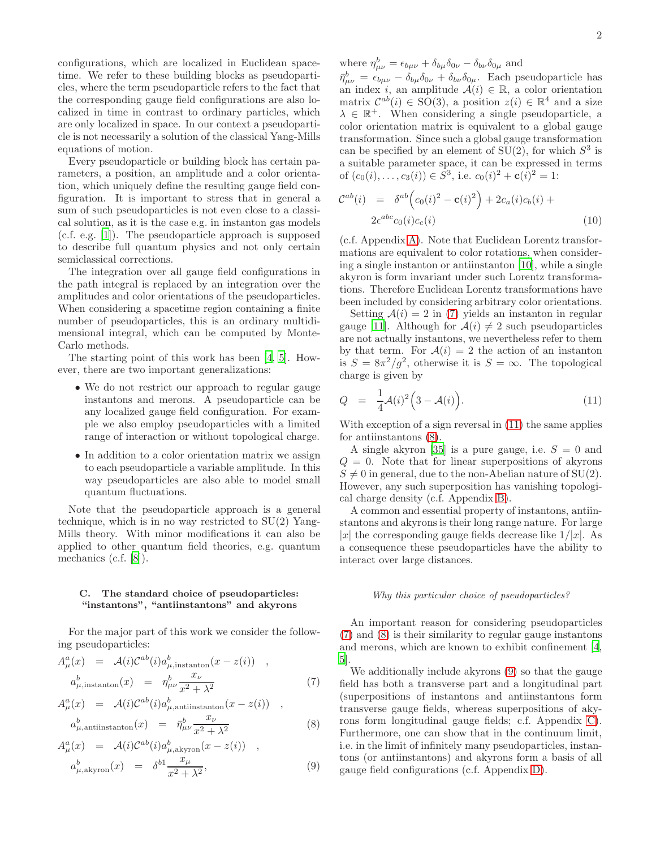configurations, which are localized in Euclidean spacetime. We refer to these building blocks as pseudoparticles, where the term pseudoparticle refers to the fact that the corresponding gauge field configurations are also localized in time in contrast to ordinary particles, which are only localized in space. In our context a pseudoparticle is not necessarily a solution of the classical Yang-Mills equations of motion.

Every pseudoparticle or building block has certain parameters, a position, an amplitude and a color orientation, which uniquely define the resulting gauge field configuration. It is important to stress that in general a sum of such pseudoparticles is not even close to a classical solution, as it is the case e.g. in instanton gas models (c.f. e.g. [\[1\]](#page-17-0)). The pseudoparticle approach is supposed to describe full quantum physics and not only certain semiclassical corrections.

The integration over all gauge field configurations in the path integral is replaced by an integration over the amplitudes and color orientations of the pseudoparticles. When considering a spacetime region containing a finite number of pseudoparticles, this is an ordinary multidimensional integral, which can be computed by Monte-Carlo methods.

The starting point of this work has been [\[4](#page-17-3), [5\]](#page-17-4). However, there are two important generalizations:

- We do not restrict our approach to regular gauge instantons and merons. A pseudoparticle can be any localized gauge field configuration. For example we also employ pseudoparticles with a limited range of interaction or without topological charge.
- In addition to a color orientation matrix we assign to each pseudoparticle a variable amplitude. In this way pseudoparticles are also able to model small quantum fluctuations.

Note that the pseudoparticle approach is a general technique, which is in no way restricted to  $SU(2)$  Yang-Mills theory. With minor modifications it can also be applied to other quantum field theories, e.g. quantum mechanics (c.f. [\[8](#page-17-7)]).

## C. The standard choice of pseudoparticles: "instantons", "antiinstantons" and akyrons

For the major part of this work we consider the following pseudoparticles:

<span id="page-1-0"></span>
$$
A_{\mu}^{a}(x) = \mathcal{A}(i)\mathcal{C}^{ab}(i)a_{\mu,\text{instanton}}^{b}(x - z(i)) ,
$$
  
\n
$$
a_{\mu,\text{instanton}}^{b}(x) = \eta_{\mu\nu}^{b} \frac{x_{\nu}}{x^{2} + \lambda^{2}}
$$
 (7)

$$
A_{\mu}^{a}(x) = \mathcal{A}(i)\mathcal{C}^{ab}(i)a_{\mu,\text{antinstanton}}^{b}(x - z(i)) ,
$$
  
\n
$$
a_{\mu,\text{antinstanton}}^{b}(x) = \bar{\eta}_{\mu\nu}^{b} \frac{x_{\nu}}{x_{\nu+1}}.
$$
 (8)

$$
a_{\mu, \text{antiinstanton}}(x) = \eta_{\mu\nu} \frac{1}{x^2 + \lambda^2}
$$
\n
$$
A_{\mu}^a(x) = \mathcal{A}(i)\mathcal{C}^{ab}(i)a_{\mu, \text{akyron}}^b(x - z(i)) ,
$$
\n
$$
A_{\mu}^a(x) = \mathcal{A}(i)\mathcal{C}^{ab}(i)a_{\mu, \text{akyron}}^b(x - z(i)) ,
$$
\n
$$
A_{\mu}^a(x) = \mathcal{C}^{ab}(\mu, \mathcal{C}^{ab}(\mu, \mathcal{C}^{ab}))
$$

$$
a_{\mu,\text{akyron}}^b(x) = \delta^{b1} \frac{x_\mu}{x^2 + \lambda^2},\tag{9}
$$

where  $\eta_{\mu\nu}^b = \epsilon_{b\mu\nu} + \delta_{b\mu}\delta_{0\nu} - \delta_{b\nu}\delta_{0\mu}$  and

 $\bar{\eta}^b_{\mu\nu} = \epsilon_{b\mu\nu} - \delta_{b\mu}\delta_{0\nu} + \delta_{b\nu}\delta_{0\mu}$ . Each pseudoparticle has an index i, an amplitude  $A(i) \in \mathbb{R}$ , a color orientation matrix  $\mathcal{C}^{ab}(i) \in SO(3)$ , a position  $z(i) \in \mathbb{R}^4$  and a size  $\lambda \in \mathbb{R}^+$ . When considering a single pseudoparticle, a color orientation matrix is equivalent to a global gauge transformation. Since such a global gauge transformation can be specified by an element of  $SU(2)$ , for which  $S^3$  is a suitable parameter space, it can be expressed in terms of  $(c_0(i), \ldots, c_3(i)) \in \tilde{S}^3$ , i.e.  $c_0(i)^2 + c(i)^2 = 1$ :

$$
\mathcal{C}^{ab}(i) = \delta^{ab} \Big( c_0(i)^2 - \mathbf{c}(i)^2 \Big) + 2c_a(i)c_b(i) + 2\epsilon^{abc} c_0(i)c_c(i)
$$
\n(10)

(c.f. Appendix [A\)](#page-15-0). Note that Euclidean Lorentz transformations are equivalent to color rotations, when considering a single instanton or antiinstanton [\[10](#page-17-9)], while a single akyron is form invariant under such Lorentz transformations. Therefore Euclidean Lorentz transformations have been included by considering arbitrary color orientations.

Setting  $A(i) = 2$  in [\(7\)](#page-1-0) yields an instanton in regular gauge [\[11\]](#page-17-10). Although for  $A(i) \neq 2$  such pseudoparticles are not actually instantons, we nevertheless refer to them by that term. For  $A(i) = 2$  the action of an instanton is  $S = 8\pi^2/g^2$ , otherwise it is  $S = \infty$ . The topological charge is given by

<span id="page-1-1"></span>
$$
Q = \frac{1}{4} \mathcal{A}(i)^2 \left(3 - \mathcal{A}(i)\right). \tag{11}
$$

With exception of a sign reversal in  $(11)$  the same applies for antiinstantons  $(8)$ .

A single akyron [\[35](#page-17-11)] is a pure gauge, i.e.  $S = 0$  and  $Q = 0$ . Note that for linear superpositions of akyrons  $S \neq 0$  in general, due to the non-Abelian nature of SU(2). However, any such superposition has vanishing topological charge density (c.f. Appendix [B\)](#page-15-1).

A common and essential property of instantons, antiinstantons and akyrons is their long range nature. For large |x| the corresponding gauge fields decrease like  $1/|x|$ . As a consequence these pseudoparticles have the ability to interact over large distances.

### *Why this particular choice of pseudoparticles?*

An important reason for considering pseudoparticles [\(7\)](#page-1-0) and [\(8\)](#page-1-0) is their similarity to regular gauge instantons and merons, which are known to exhibit confinement [\[4](#page-17-3), [5\]](#page-17-4).

We additionally include akyrons [\(9\)](#page-1-0) so that the gauge field has both a transverse part and a longitudinal part (superpositions of instantons and antiinstantons form transverse gauge fields, whereas superpositions of akyrons form longitudinal gauge fields; c.f. Appendix [C\)](#page-15-2). Furthermore, one can show that in the continuum limit, i.e. in the limit of infinitely many pseudoparticles, instantons (or antiinstantons) and akyrons form a basis of all gauge field configurations (c.f. Appendix [D\)](#page-16-0).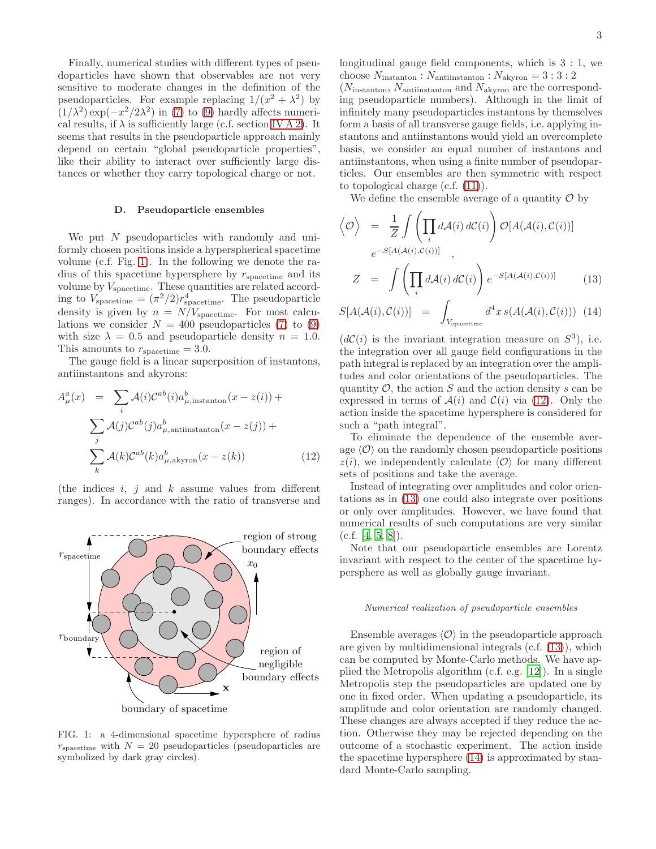Finally, numerical studies with different types of pseudoparticles have shown that observables are not very sensitive to moderate changes in the definition of the pseudoparticles. For example replacing  $1/(x^2 + \lambda^2)$  by  $(1/\lambda^2) \exp(-x^2/2\lambda^2)$  in [\(7\)](#page-1-0) to [\(9\)](#page-1-0) hardly affects numerical results, if  $\lambda$  is sufficiently large (c.f. section [IV A 2\)](#page-12-0). It seems that results in the pseudoparticle approach mainly depend on certain "global pseudoparticle properties", like their ability to interact over sufficiently large distances or whether they carry topological charge or not.

### <span id="page-2-3"></span>D. Pseudoparticle ensembles

We put N pseudoparticles with randomly and uniformly chosen positions inside a hyperspherical spacetime volume (c.f. Fig. [1\)](#page-2-0). In the following we denote the radius of this spacetime hypersphere by  $r_{\text{spacetime}}$  and its volume by  $V_{\text{spacetime}}$ . These quantities are related according to  $V_{\text{spacetime}} = (\pi^2/2)r_{\text{spacetime}}^4$ . The pseudoparticle density is given by  $n = N/V_{\text{spacetime}}$ . For most calculations we consider  $N = 400$  pseudoparticles [\(7\)](#page-1-0) to [\(9\)](#page-1-0) with size  $\lambda = 0.5$  and pseudoparticle density  $n = 1.0$ . This amounts to  $r_{\text{spacetime}} = 3.0$ .

The gauge field is a linear superposition of instantons, antiinstantons and akyrons:

<span id="page-2-1"></span>
$$
A_{\mu}^{a}(x) = \sum_{i} \mathcal{A}(i) \mathcal{C}^{ab}(i) a_{\mu, \text{instanton}}^{b}(x - z(i)) +
$$

$$
\sum_{j} \mathcal{A}(j) \mathcal{C}^{ab}(j) a_{\mu, \text{antinstanton}}^{b}(x - z(j)) +
$$

$$
\sum_{k} \mathcal{A}(k) \mathcal{C}^{ab}(k) a_{\mu, \text{akyron}}^{b}(x - z(k)) \qquad (12)
$$

(the indices  $i, j$  and  $k$  assume values from different ranges). In accordance with the ratio of transverse and



<span id="page-2-0"></span>FIG. 1: a 4-dimensional spacetime hypersphere of radius  $r_{\text{spacetime}}$  with  $N = 20$  pseudoparticles (pseudoparticles are symbolized by dark gray circles).

longitudinal gauge field components, which is 3 : 1, we choose  $N_{\text{instanton}}$ :  $N_{\text{antinstanton}}$ :  $N_{\text{akyron}} = 3:3:2$ (Ninstanton, Nantiinstanton and Nakyron are the corresponding pseudoparticle numbers). Although in the limit of infinitely many pseudoparticles instantons by themselves form a basis of all transverse gauge fields, i.e. applying instantons and antiinstantons would yield an overcomplete basis, we consider an equal number of instantons and antiinstantons, when using a finite number of pseudoparticles. Our ensembles are then symmetric with respect to topological charge (c.f. [\(11\)](#page-1-1)).

We define the ensemble average of a quantity  $\mathcal O$  by

<span id="page-2-2"></span>
$$
\langle \mathcal{O} \rangle = \frac{1}{Z} \int \left( \prod_i d\mathcal{A}(i) d\mathcal{C}(i) \right) \mathcal{O}[A(\mathcal{A}(i), \mathcal{C}(i))]
$$
  
\n
$$
e^{-S[A(\mathcal{A}(i), \mathcal{C}(i))]} ,
$$
  
\n
$$
Z = \int \left( \prod_i d\mathcal{A}(i) d\mathcal{C}(i) \right) e^{-S[A(\mathcal{A}(i), \mathcal{C}(i))]} .
$$
 (13)

$$
S[A(\mathcal{A}(i), \mathcal{C}(i))] = \int_{V_{\text{spacetime}}} d^4x \, s(A(\mathcal{A}(i), \mathcal{C}(i))) \tag{14}
$$

 $(d\mathcal{C}(i))$  is the invariant integration measure on  $S^3$ ), i.e. the integration over all gauge field configurations in the path integral is replaced by an integration over the amplitudes and color orientations of the pseudoparticles. The quantity  $\mathcal{O}$ , the action  $S$  and the action density  $s$  can be expressed in terms of  $A(i)$  and  $C(i)$  via [\(12\)](#page-2-1). Only the action inside the spacetime hypersphere is considered for such a "path integral".

To eliminate the dependence of the ensemble average  $\langle \mathcal{O} \rangle$  on the randomly chosen pseudoparticle positions  $z(i)$ , we independently calculate  $\langle \mathcal{O} \rangle$  for many different sets of positions and take the average.

Instead of integrating over amplitudes and color orientations as in [\(13\)](#page-2-2) one could also integrate over positions or only over amplitudes. However, we have found that numerical results of such computations are very similar  $(c.f. [4, 5, 8]).$  $(c.f. [4, 5, 8]).$  $(c.f. [4, 5, 8]).$  $(c.f. [4, 5, 8]).$  $(c.f. [4, 5, 8]).$  $(c.f. [4, 5, 8]).$  $(c.f. [4, 5, 8]).$ 

Note that our pseudoparticle ensembles are Lorentz invariant with respect to the center of the spacetime hypersphere as well as globally gauge invariant.

### *Numerical realization of pseudoparticle ensembles*

Ensemble averages  $\langle \mathcal{O} \rangle$  in the pseudoparticle approach are given by multidimensional integrals (c.f. [\(13\)](#page-2-2)), which can be computed by Monte-Carlo methods. We have applied the Metropolis algorithm (c.f. e.g. [\[12\]](#page-17-12)). In a single Metropolis step the pseudoparticles are updated one by one in fixed order. When updating a pseudoparticle, its amplitude and color orientation are randomly changed. These changes are always accepted if they reduce the action. Otherwise they may be rejected depending on the outcome of a stochastic experiment. The action inside the spacetime hypersphere [\(14\)](#page-2-2) is approximated by standard Monte-Carlo sampling.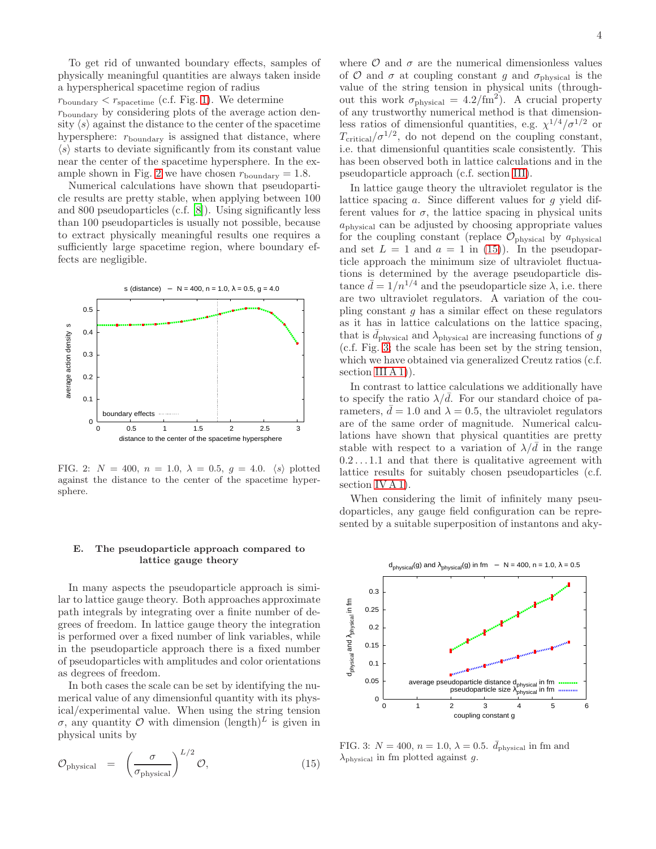To get rid of unwanted boundary effects, samples of physically meaningful quantities are always taken inside a hyperspherical spacetime region of radius  $r_{\text{boundary}} < r_{\text{spacetime}}$  (c.f. Fig. [1\)](#page-2-0). We determine  $r_{\text{boundary}}$  by considering plots of the average action density  $\langle s \rangle$  against the distance to the center of the spacetime hypersphere:  $r_{\text{boundary}}$  is assigned that distance, where  $\langle s \rangle$  starts to deviate significantly from its constant value near the center of the spacetime hypersphere. In the ex-ample shown in Fig. [2](#page-3-0) we have chosen  $r_{\text{boundary}} = 1.8$ .

Numerical calculations have shown that pseudoparticle results are pretty stable, when applying between 100 and 800 pseudoparticles (c.f. [\[8\]](#page-17-7)). Using significantly less than 100 pseudoparticles is usually not possible, because to extract physically meaningful results one requires a sufficiently large spacetime region, where boundary effects are negligible.



<span id="page-3-0"></span>FIG. 2:  $N = 400$ ,  $n = 1.0$ ,  $\lambda = 0.5$ ,  $g = 4.0$ .  $\langle s \rangle$  plotted against the distance to the center of the spacetime hypersphere.

# E. The pseudoparticle approach compared to lattice gauge theory

In many aspects the pseudoparticle approach is similar to lattice gauge theory. Both approaches approximate path integrals by integrating over a finite number of degrees of freedom. In lattice gauge theory the integration is performed over a fixed number of link variables, while in the pseudoparticle approach there is a fixed number of pseudoparticles with amplitudes and color orientations as degrees of freedom.

In both cases the scale can be set by identifying the numerical value of any dimensionful quantity with its physical/experimental value. When using the string tension σ, any quantity Ο with dimension  $(\text{length})^L$  is given in physical units by

<span id="page-3-1"></span>
$$
\mathcal{O}_{\text{physical}} = \left(\frac{\sigma}{\sigma_{\text{physical}}}\right)^{L/2} \mathcal{O}, \tag{15}
$$

where  $\mathcal O$  and  $\sigma$  are the numerical dimensionless values of  $\mathcal O$  and  $\sigma$  at coupling constant g and  $\sigma_{\text{physical}}$  is the value of the string tension in physical units (throughout this work  $\sigma_{\text{physical}} = 4.2 / \text{fm}^2$ . A crucial property of any trustworthy numerical method is that dimensionless ratios of dimensionful quantities, e.g.  $\chi^{1/4}/\sigma^{1/2}$  or  $T_{\text{critical}}/\sigma^{1/2}$ , do not depend on the coupling constant, i.e. that dimensionful quantities scale consistently. This has been observed both in lattice calculations and in the pseudoparticle approach (c.f. section [III\)](#page-4-0).

In lattice gauge theory the ultraviolet regulator is the lattice spacing a. Since different values for g yield different values for  $\sigma$ , the lattice spacing in physical units  $a_{\text{physical}}$  can be adjusted by choosing appropriate values for the coupling constant (replace  $\mathcal{O}_{\text{physical}}$  by  $a_{\text{physical}}$ and set  $L = 1$  and  $a = 1$  in [\(15\)](#page-3-1)). In the pseudoparticle approach the minimum size of ultraviolet fluctuations is determined by the average pseudoparticle distance  $\bar{d} = 1/n^{1/4}$  and the pseudoparticle size  $\lambda$ , i.e. there are two ultraviolet regulators. A variation of the coupling constant  $q$  has a similar effect on these regulators as it has in lattice calculations on the lattice spacing, that is  $\bar{d}_{\text{physical}}$  and  $\lambda_{\text{physical}}$  are increasing functions of g (c.f. Fig. [3;](#page-3-2) the scale has been set by the string tension, which we have obtained via generalized Creutz ratios (c.f. section III  $A$  1).

In contrast to lattice calculations we additionally have to specify the ratio  $\lambda/d$ . For our standard choice of parameters,  $d = 1.0$  and  $\lambda = 0.5$ , the ultraviolet regulators are of the same order of magnitude. Numerical calculations have shown that physical quantities are pretty stable with respect to a variation of  $\lambda/\bar{d}$  in the range  $0.2 \ldots 1.1$  and that there is qualitative agreement with lattice results for suitably chosen pseudoparticles (c.f. section [IV A 1\)](#page-11-1).

When considering the limit of infinitely many pseudoparticles, any gauge field configuration can be represented by a suitable superposition of instantons and aky-



<span id="page-3-2"></span>FIG. 3:  $N = 400$ ,  $n = 1.0$ ,  $\lambda = 0.5$ .  $\bar{d}_{\text{physical}}$  in fm and  $\lambda_{\text{physical}}$  in fm plotted against g.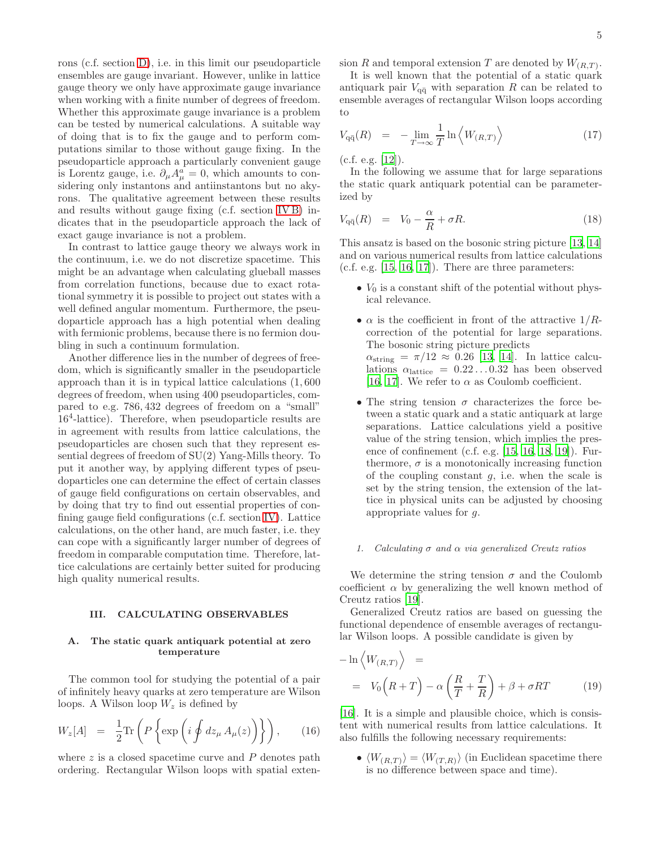rons (c.f. section [D\)](#page-16-0), i.e. in this limit our pseudoparticle ensembles are gauge invariant. However, unlike in lattice gauge theory we only have approximate gauge invariance when working with a finite number of degrees of freedom. Whether this approximate gauge invariance is a problem can be tested by numerical calculations. A suitable way of doing that is to fix the gauge and to perform computations similar to those without gauge fixing. In the pseudoparticle approach a particularly convenient gauge is Lorentz gauge, i.e.  $\partial_{\mu}A_{\mu}^{a}=0$ , which amounts to considering only instantons and antiinstantons but no akyrons. The qualitative agreement between these results and results without gauge fixing (c.f. section [IV B\)](#page-13-0) indicates that in the pseudoparticle approach the lack of exact gauge invariance is not a problem.

In contrast to lattice gauge theory we always work in the continuum, i.e. we do not discretize spacetime. This might be an advantage when calculating glueball masses from correlation functions, because due to exact rotational symmetry it is possible to project out states with a well defined angular momentum. Furthermore, the pseudoparticle approach has a high potential when dealing with fermionic problems, because there is no fermion doubling in such a continuum formulation.

Another difference lies in the number of degrees of freedom, which is significantly smaller in the pseudoparticle approach than it is in typical lattice calculations (1, 600 degrees of freedom, when using 400 pseudoparticles, compared to e.g. 786, 432 degrees of freedom on a "small" 16<sup>4</sup> -lattice). Therefore, when pseudoparticle results are in agreement with results from lattice calculations, the pseudoparticles are chosen such that they represent essential degrees of freedom of SU(2) Yang-Mills theory. To put it another way, by applying different types of pseudoparticles one can determine the effect of certain classes of gauge field configurations on certain observables, and by doing that try to find out essential properties of confining gauge field configurations (c.f. section [IV\)](#page-11-0). Lattice calculations, on the other hand, are much faster, i.e. they can cope with a significantly larger number of degrees of freedom in comparable computation time. Therefore, lattice calculations are certainly better suited for producing high quality numerical results.

# <span id="page-4-0"></span>III. CALCULATING OBSERVABLES

## A. The static quark antiquark potential at zero temperature

The common tool for studying the potential of a pair of infinitely heavy quarks at zero temperature are Wilson loops. A Wilson loop  $W_z$  is defined by

$$
W_z[A] = \frac{1}{2} \text{Tr} \left( P \left\{ \exp \left( i \oint dz_\mu A_\mu(z) \right) \right\} \right), \quad (16)
$$

where  $z$  is a closed spacetime curve and  $P$  denotes path ordering. Rectangular Wilson loops with spatial extension R and temporal extension T are denoted by  $W_{(R,T)}$ .

It is well known that the potential of a static quark antiquark pair  $V_{q\bar{q}}$  with separation R can be related to ensemble averages of rectangular Wilson loops according to

<span id="page-4-2"></span>
$$
V_{\mathbf{q}\bar{\mathbf{q}}}(R) = -\lim_{T \to \infty} \frac{1}{T} \ln \left\langle W_{(R,T)} \right\rangle \tag{17}
$$

 $(c.f. e.g. [12]).$  $(c.f. e.g. [12]).$  $(c.f. e.g. [12]).$ 

In the following we assume that for large separations the static quark antiquark potential can be parameterized by

<span id="page-4-3"></span>
$$
V_{q\bar{q}}(R) = V_0 - \frac{\alpha}{R} + \sigma R. \tag{18}
$$

This ansatz is based on the bosonic string picture [\[13,](#page-17-13) [14](#page-17-14)] and on various numerical results from lattice calculations  $(c.f. e.g. [15, 16, 17])$  $(c.f. e.g. [15, 16, 17])$  $(c.f. e.g. [15, 16, 17])$  $(c.f. e.g. [15, 16, 17])$  $(c.f. e.g. [15, 16, 17])$  $(c.f. e.g. [15, 16, 17])$  $(c.f. e.g. [15, 16, 17])$ . There are three parameters:

- $V_0$  is a constant shift of the potential without physical relevance.
- $\alpha$  is the coefficient in front of the attractive  $1/R$ correction of the potential for large separations. The bosonic string picture predicts  $\alpha_{\rm string} = \pi/12 \approx 0.26$  [\[13,](#page-17-13) [14\]](#page-17-14). In lattice calculations  $\alpha_{\text{lattice}} = 0.22 \dots 0.32$  has been observed [\[16,](#page-17-16) [17\]](#page-17-17). We refer to  $\alpha$  as Coulomb coefficient.
- The string tension  $\sigma$  characterizes the force between a static quark and a static antiquark at large separations. Lattice calculations yield a positive value of the string tension, which implies the presence of confinement (c.f. e.g. [\[15,](#page-17-15) [16,](#page-17-16) [18,](#page-17-18) [19\]](#page-17-19)). Furthermore,  $\sigma$  is a monotonically increasing function of the coupling constant  $g$ , i.e. when the scale is set by the string tension, the extension of the lattice in physical units can be adjusted by choosing appropriate values for g.

### <span id="page-4-1"></span>*1. Calculating* σ *and* α *via generalized Creutz ratios*

We determine the string tension  $\sigma$  and the Coulomb coefficient  $\alpha$  by generalizing the well known method of Creutz ratios [\[19](#page-17-19)].

Generalized Creutz ratios are based on guessing the functional dependence of ensemble averages of rectangular Wilson loops. A possible candidate is given by

<span id="page-4-4"></span>
$$
-\ln\left\langle W_{(R,T)}\right\rangle =
$$
  
=  $V_0\left(R+T\right)-\alpha\left(\frac{R}{T}+\frac{T}{R}\right)+\beta+\sigma RT$  (19)

[\[16\]](#page-17-16). It is a simple and plausible choice, which is consistent with numerical results from lattice calculations. It also fulfills the following necessary requirements:

•  $\langle W_{(R,T)} \rangle = \langle W_{(T,R)} \rangle$  (in Euclidean spacetime there is no difference between space and time).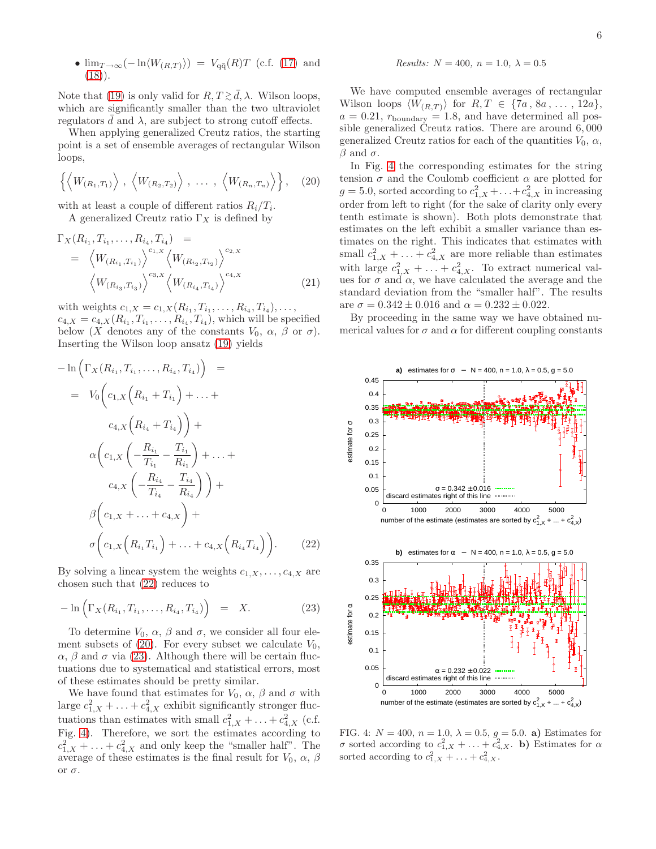• 
$$
\lim_{T \to \infty} (-\ln \langle W_{(R,T)} \rangle) = V_{q\bar{q}}(R)T
$$
 (c.f. (17) and (18)).

Note that [\(19\)](#page-4-4) is only valid for  $R, T \gtrsim \bar{d}, \lambda$ . Wilson loops, which are significantly smaller than the two ultraviolet regulators d and  $\lambda$ , are subject to strong cutoff effects.

When applying generalized Creutz ratios, the starting point is a set of ensemble averages of rectangular Wilson loops,

<span id="page-5-1"></span>
$$
\left\{ \left\langle W_{(R_1,T_1)} \right\rangle, \left\langle W_{(R_2,T_2)} \right\rangle, \ldots, \left\langle W_{(R_n,T_n)} \right\rangle \right\}, (20)
$$

with at least a couple of different ratios  $R_i/T_i$ .

A generalized Creutz ratio  $\Gamma_X$  is defined by

$$
\Gamma_X(R_{i_1}, T_{i_1}, \dots, R_{i_4}, T_{i_4}) =
$$
\n
$$
= \left\langle W_{(R_{i_1}, T_{i_1})} \right\rangle^{c_{1,X}} \left\langle W_{(R_{i_2}, T_{i_2})} \right\rangle^{c_{2,X}} \left\langle W_{(R_{i_3}, T_{i_3})} \right\rangle^{c_{3,X}} \left\langle W_{(R_{i_4}, T_{i_4})} \right\rangle^{c_{4,X}} \tag{21}
$$

with weights  $c_{1,X} = c_{1,X}(R_{i_1}, T_{i_1}, \ldots, R_{i_4}, T_{i_4}), \ldots,$  $c_{4,X} = c_{4,X}(R_{i_1}, T_{i_1}, \ldots, R_{i_4}, T_{i_4}),$  which will be specified below (X denotes any of the constants  $V_0$ ,  $\alpha$ ,  $\beta$  or  $\sigma$ ). Inserting the Wilson loop ansatz [\(19\)](#page-4-4) yields

<span id="page-5-0"></span>
$$
-\ln\left(\Gamma_X(R_{i_1}, T_{i_1}, \dots, R_{i_4}, T_{i_4})\right) =
$$
  
\n
$$
= V_0\left(c_{1,X}\left(R_{i_1} + T_{i_1}\right) + \dots +
$$
  
\n
$$
c_{4,X}\left(R_{i_4} + T_{i_4}\right)\right) +
$$
  
\n
$$
\alpha\left(c_{1,X}\left(-\frac{R_{i_1}}{T_{i_1}} - \frac{T_{i_1}}{R_{i_1}}\right) + \dots +
$$
  
\n
$$
c_{4,X}\left(-\frac{R_{i_4}}{T_{i_4}} - \frac{T_{i_4}}{R_{i_4}}\right)\right) +
$$
  
\n
$$
\beta\left(c_{1,X} + \dots + c_{4,X}\right) +
$$
  
\n
$$
\sigma\left(c_{1,X}\left(R_{i_1}T_{i_1}\right) + \dots + c_{4,X}\left(R_{i_4}T_{i_4}\right)\right).
$$
 (22)

By solving a linear system the weights  $c_{1,X}, \ldots, c_{4,X}$  are chosen such that [\(22\)](#page-5-0) reduces to

<span id="page-5-2"></span>
$$
-\ln\left(\Gamma_X(R_{i_1}, T_{i_1}, \dots, R_{i_4}, T_{i_4})\right) = X.
$$
 (23)

To determine  $V_0$ ,  $\alpha$ ,  $\beta$  and  $\sigma$ , we consider all four ele-ment subsets of [\(20\)](#page-5-1). For every subset we calculate  $V_0$ , α, β and σ via [\(23\)](#page-5-2). Although there will be certain fluctuations due to systematical and statistical errors, most of these estimates should be pretty similar.

We have found that estimates for  $V_0$ ,  $\alpha$ ,  $\beta$  and  $\sigma$  with large  $c_{1,X}^2 + \ldots + c_{4,X}^2$  exhibit significantly stronger fluctuations than estimates with small  $c_{1,X}^2 + \ldots + c_{4,X}^2$  (c.f. Fig. [4\)](#page-5-3). Therefore, we sort the estimates according to  $c_{1,X}^2 + \ldots + c_{4,X}^2$  and only keep the "smaller half". The average of these estimates is the final result for  $V_0$ ,  $\alpha$ ,  $\beta$ or  $\sigma$ .

*Results:* 
$$
N = 400
$$
,  $n = 1.0$ ,  $\lambda = 0.5$ 

We have computed ensemble averages of rectangular Wilson loops  $\langle W_{(R,T)} \rangle$  for  $R, T \in \{7a, 8a, \ldots, 12a\},\$  $a = 0.21$ ,  $r_{\text{boundary}} = 1.8$ , and have determined all possible generalized Creutz ratios. There are around 6, 000 generalized Creutz ratios for each of the quantities  $V_0$ ,  $\alpha$ ,  $\beta$  and  $\sigma$ .

In Fig. [4](#page-5-3) the corresponding estimates for the string tension  $\sigma$  and the Coulomb coefficient  $\alpha$  are plotted for  $g = 5.0$ , sorted according to  $c_{1,X}^2 + \ldots + c_{4,X}^2$  in increasing order from left to right (for the sake of clarity only every tenth estimate is shown). Both plots demonstrate that estimates on the left exhibit a smaller variance than estimates on the right. This indicates that estimates with small  $c_{1,X}^2 + \ldots + c_{4,X}^2$  are more reliable than estimates with large  $c_{1,X}^2 + \ldots + c_{4,X}^2$ . To extract numerical values for  $\sigma$  and  $\alpha$ , we have calculated the average and the standard deviation from the "smaller half". The results are  $\sigma = 0.342 \pm 0.016$  and  $\alpha = 0.232 \pm 0.022$ .

By proceeding in the same way we have obtained numerical values for  $\sigma$  and  $\alpha$  for different coupling constants



<span id="page-5-3"></span>FIG. 4:  $N = 400$ ,  $n = 1.0$ ,  $\lambda = 0.5$ ,  $q = 5.0$ . a) Estimates for σ sorted according to  $c_{1,X}^2 + \ldots + c_{4,X}^2$ . b) Estimates for α sorted according to  $c_{1,X}^2 + \ldots + c_{4,X}^2$ .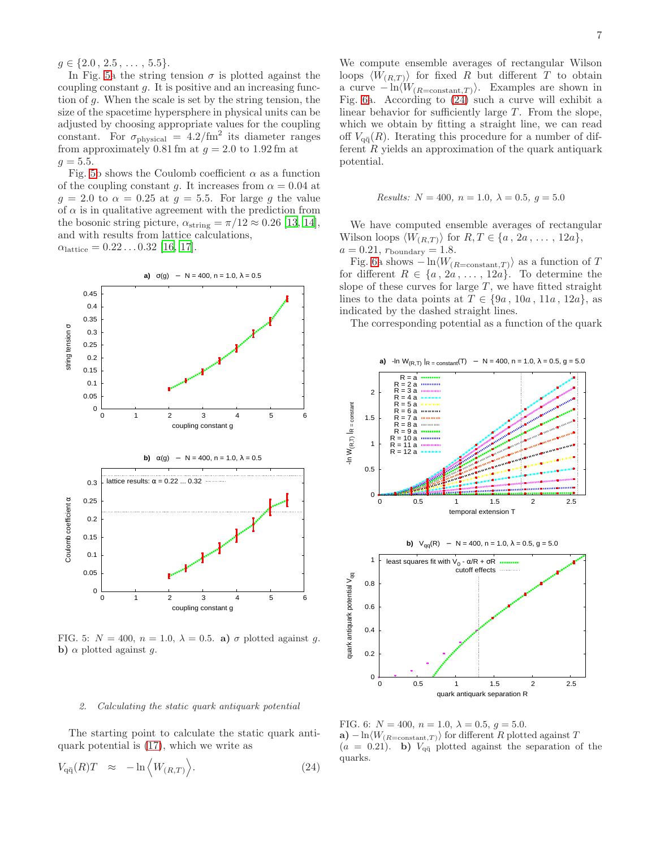$g \in \{2.0, 2.5, \ldots, 5.5\}.$ 

In Fig. [5a](#page-6-0) the string tension  $\sigma$  is plotted against the coupling constant  $q$ . It is positive and an increasing function of g. When the scale is set by the string tension, the size of the spacetime hypersphere in physical units can be adjusted by choosing appropriate values for the coupling constant. For  $\sigma_{\text{physical}} = 4.2/\text{fm}^2$  its diameter ranges from approximately 0.81 fm at  $q = 2.0$  to 1.92 fm at  $q = 5.5.$ 

Fig. [5b](#page-6-0) shows the Coulomb coefficient  $\alpha$  as a function of the coupling constant g. It increases from  $\alpha = 0.04$  at  $g = 2.0$  to  $\alpha = 0.25$  at  $g = 5.5$ . For large g the value of  $\alpha$  is in qualitative agreement with the prediction from the bosonic string picture,  $\alpha_{\text{string}} = \pi/12 \approx 0.26$  [\[13,](#page-17-13) [14\]](#page-17-14), and with results from lattice calculations,  $\alpha_{\text{lattice}} = 0.22 \dots 0.32$  [\[16](#page-17-16), [17\]](#page-17-17).



<span id="page-6-0"></span>FIG. 5:  $N = 400$ ,  $n = 1.0$ ,  $\lambda = 0.5$ . a)  $\sigma$  plotted against q. b)  $\alpha$  plotted against g.

#### <span id="page-6-3"></span>*2. Calculating the static quark antiquark potential*

The starting point to calculate the static quark antiquark potential is [\(17\)](#page-4-2), which we write as

<span id="page-6-2"></span>
$$
V_{\mathbf{q}\bar{\mathbf{q}}}(R)T \approx -\ln\left\langle W_{(R,T)}\right\rangle. \tag{24}
$$

We compute ensemble averages of rectangular Wilson loops  $\langle W_{(R,T)}\rangle$  for fixed R but different T to obtain a curve  $-\ln\langle W_{(R=\text{constant},T)}\rangle$ . Examples are shown in Fig. [6a](#page-6-1). According to [\(24\)](#page-6-2) such a curve will exhibit a linear behavior for sufficiently large  $T$ . From the slope, which we obtain by fitting a straight line, we can read off  $V_{\alpha\bar{\alpha}}(R)$ . Iterating this procedure for a number of different  $R$  yields an approximation of the quark antiquark potential.

*Results:* 
$$
N = 400
$$
,  $n = 1.0$ ,  $\lambda = 0.5$ ,  $g = 5.0$ 

We have computed ensemble averages of rectangular Wilson loops  $\langle W_{(R,T)} \rangle$  for  $R, T \in \{a, 2a, \ldots, 12a\},\$  $a = 0.21$ ,  $r_{\text{boundary}} = 1.8$ .

Fig. [6a](#page-6-1) shows  $-\ln\langle W_{(R=\text{constant},T)}\rangle$  as a function of T for different  $R \in \{a, 2a, \ldots, 12a\}$ . To determine the slope of these curves for large  $T$ , we have fitted straight lines to the data points at  $T \in \{9a, 10a, 11a, 12a\}$ , as indicated by the dashed straight lines.

The corresponding potential as a function of the quark



<span id="page-6-1"></span>FIG. 6:  $N = 400$ ,  $n = 1.0$ ,  $\lambda = 0.5$ ,  $q = 5.0$ . a) – ln $\langle W_{(R=\text{constant},T)}\rangle$  for different R plotted against T  $(a = 0.21)$ . b)  $V_{q\bar{q}}$  plotted against the separation of the quarks.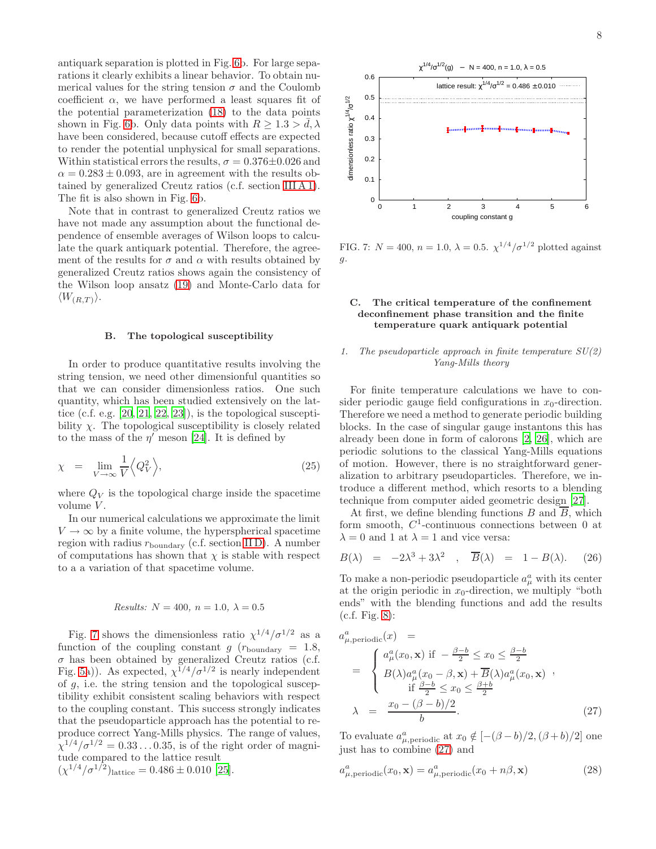antiquark separation is plotted in Fig. [6b](#page-6-1). For large separations it clearly exhibits a linear behavior. To obtain numerical values for the string tension  $\sigma$  and the Coulomb coefficient  $\alpha$ , we have performed a least squares fit of the potential parameterization [\(18\)](#page-4-3) to the data points shown in Fig. [6b](#page-6-1). Only data points with  $R > 1.3 > d, \lambda$ have been considered, because cutoff effects are expected to render the potential unphysical for small separations. Within statistical errors the results,  $\sigma = 0.376 \pm 0.026$  and  $\alpha = 0.283 \pm 0.093$ , are in agreement with the results obtained by generalized Creutz ratios (c.f. section [III A 1\)](#page-4-1). The fit is also shown in Fig. [6b](#page-6-1).

Note that in contrast to generalized Creutz ratios we have not made any assumption about the functional dependence of ensemble averages of Wilson loops to calculate the quark antiquark potential. Therefore, the agreement of the results for  $\sigma$  and  $\alpha$  with results obtained by generalized Creutz ratios shows again the consistency of the Wilson loop ansatz [\(19\)](#page-4-4) and Monte-Carlo data for  $\langle W_{(R,T)}\rangle$ .

### B. The topological susceptibility

In order to produce quantitative results involving the string tension, we need other dimensionful quantities so that we can consider dimensionless ratios. One such quantity, which has been studied extensively on the lattice (c.f. e.g. [\[20,](#page-17-20) [21,](#page-17-21) [22,](#page-17-22) [23](#page-17-23)]), is the topological susceptibility  $\chi$ . The topological susceptibility is closely related to the mass of the  $\eta'$  meson [\[24\]](#page-17-24). It is defined by

$$
\chi = \lim_{V \to \infty} \frac{1}{V} \left\langle Q_V^2 \right\rangle, \tag{25}
$$

where  $Q_V$  is the topological charge inside the spacetime volume V.

In our numerical calculations we approximate the limit  $V \rightarrow \infty$  by a finite volume, the hyperspherical spacetime region with radius  $r_{\text{boundary}}$  (c.f. section [II D\)](#page-2-3). A number of computations has shown that  $\chi$  is stable with respect to a a variation of that spacetime volume.

# *Results:*  $N = 400, n = 1.0, \lambda = 0.5$

Fig. [7](#page-7-0) shows the dimensionless ratio  $\chi^{1/4}/\sigma^{1/2}$  as a function of the coupling constant g  $(r_{\text{boundary}} = 1.8,$  $\sigma$  has been obtained by generalized Creutz ratios (c.f. Fig. [5a](#page-6-0))). As expected,  $\chi^{1/4}/\sigma^{1/2}$  is nearly independent of g, i.e. the string tension and the topological susceptibility exhibit consistent scaling behaviors with respect to the coupling constant. This success strongly indicates that the pseudoparticle approach has the potential to reproduce correct Yang-Mills physics. The range of values,  $\chi^{1/4}/\sigma^{1/2} = 0.33 \ldots 0.35$ , is of the right order of magnitude compared to the lattice result  $(\chi^{1/4}/\sigma^{1/2})$ lattice = 0.486 ± 0.010 [\[25](#page-17-25)].



<span id="page-7-0"></span>FIG. 7:  $N = 400$ ,  $n = 1.0$ ,  $\lambda = 0.5$ .  $\chi^{1/4}/\sigma^{1/2}$  plotted against g.

## C. The critical temperature of the confinement deconfinement phase transition and the finite temperature quark antiquark potential

# <span id="page-7-2"></span>*1. The pseudoparticle approach in finite temperature SU(2) Yang-Mills theory*

For finite temperature calculations we have to consider periodic gauge field configurations in  $x_0$ -direction. Therefore we need a method to generate periodic building blocks. In the case of singular gauge instantons this has already been done in form of calorons [\[2,](#page-17-1) [26\]](#page-17-26), which are periodic solutions to the classical Yang-Mills equations of motion. However, there is no straightforward generalization to arbitrary pseudoparticles. Therefore, we introduce a different method, which resorts to a blending technique from computer aided geometric design [\[27\]](#page-17-27).

At first, we define blending functions B and  $\overline{B}$ , which form smooth,  $C^1$ -continuous connections between 0 at  $\lambda = 0$  and 1 at  $\lambda = 1$  and vice versa:

$$
B(\lambda) = -2\lambda^3 + 3\lambda^2 , \overline{B}(\lambda) = 1 - B(\lambda). \quad (26)
$$

To make a non-periodic pseudoparticle  $a^a_\mu$  with its center at the origin periodic in  $x_0$ -direction, we multiply "both" ends" with the blending functions and add the results (c.f. Fig. [8\)](#page-8-0):

<span id="page-7-1"></span>
$$
a_{\mu,\text{periodic}}^{a}(x) =
$$
\n
$$
= \begin{cases}\na_{\mu}^{a}(x_{0}, \mathbf{x}) & \text{if } -\frac{\beta - b}{2} \leq x_{0} \leq \frac{\beta - b}{2} \\
B(\lambda)a_{\mu}^{a}(x_{0} - \beta, \mathbf{x}) + \overline{B}(\lambda)a_{\mu}^{a}(x_{0}, \mathbf{x}) \quad , \\
\text{if } \frac{\beta - b}{2} \leq x_{0} \leq \frac{\beta + b}{2} \\
\lambda = \frac{x_{0} - (\beta - b)/2}{b}.\n\end{cases}
$$
\n(27)

To evaluate  $a_{\mu, \text{periodic}}^a$  at  $x_0 \notin [-(\beta - b)/2, (\beta + b)/2]$  one just has to combine [\(27\)](#page-7-1) and

$$
a_{\mu, \text{periodic}}^{a}(x_0, \mathbf{x}) = a_{\mu, \text{periodic}}^{a}(x_0 + n\beta, \mathbf{x})
$$
\n(28)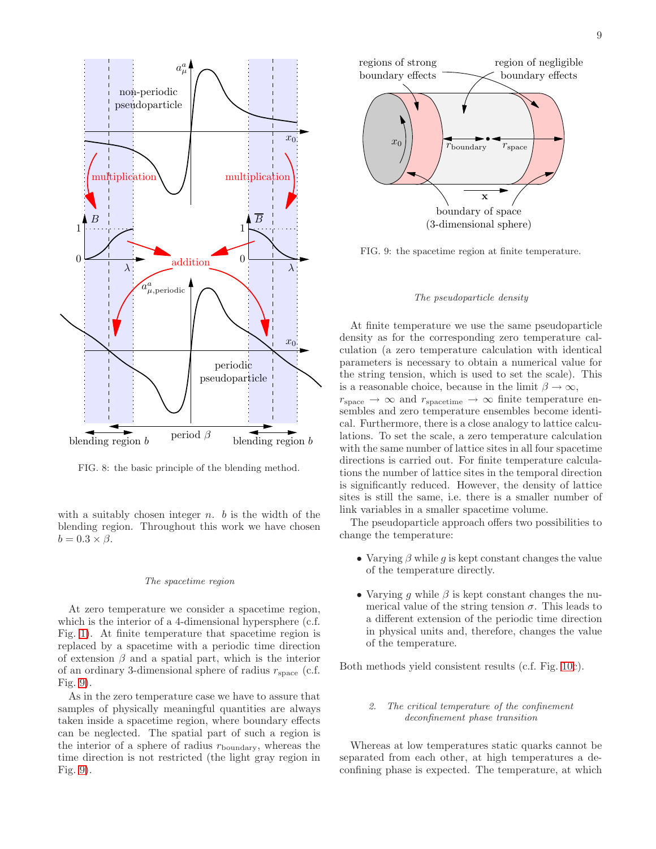

<span id="page-8-0"></span>FIG. 8: the basic principle of the blending method.

with a suitably chosen integer  $n$ .  $b$  is the width of the blending region. Throughout this work we have chosen  $b = 0.3 \times \beta$ .

### *The spacetime region*

At zero temperature we consider a spacetime region, which is the interior of a 4-dimensional hypersphere (c.f. Fig. [1\)](#page-2-0). At finite temperature that spacetime region is replaced by a spacetime with a periodic time direction of extension  $\beta$  and a spatial part, which is the interior of an ordinary 3-dimensional sphere of radius  $r_{\text{space}}$  (c.f. Fig. [9\)](#page-8-1).

As in the zero temperature case we have to assure that samples of physically meaningful quantities are always taken inside a spacetime region, where boundary effects can be neglected. The spatial part of such a region is the interior of a sphere of radius  $r_{\text{boundary}}$ , whereas the time direction is not restricted (the light gray region in Fig. [9\)](#page-8-1).



<span id="page-8-1"></span>FIG. 9: the spacetime region at finite temperature.

#### *The pseudoparticle density*

At finite temperature we use the same pseudoparticle density as for the corresponding zero temperature calculation (a zero temperature calculation with identical parameters is necessary to obtain a numerical value for the string tension, which is used to set the scale). This is a reasonable choice, because in the limit  $\beta \to \infty$ ,  $r_{\text{space}} \rightarrow \infty$  and  $r_{\text{spacetime}} \rightarrow \infty$  finite temperature ensembles and zero temperature ensembles become identical. Furthermore, there is a close analogy to lattice calculations. To set the scale, a zero temperature calculation with the same number of lattice sites in all four spacetime directions is carried out. For finite temperature calculations the number of lattice sites in the temporal direction is significantly reduced. However, the density of lattice sites is still the same, i.e. there is a smaller number of link variables in a smaller spacetime volume.

The pseudoparticle approach offers two possibilities to change the temperature:

- Varying  $\beta$  while g is kept constant changes the value of the temperature directly.
- Varying q while  $\beta$  is kept constant changes the numerical value of the string tension  $\sigma$ . This leads to a different extension of the periodic time direction in physical units and, therefore, changes the value of the temperature.

Both methods yield consistent results (c.f. Fig. [10c](#page-10-0)).

## *2. The critical temperature of the confinement deconfinement phase transition*

Whereas at low temperatures static quarks cannot be separated from each other, at high temperatures a deconfining phase is expected. The temperature, at which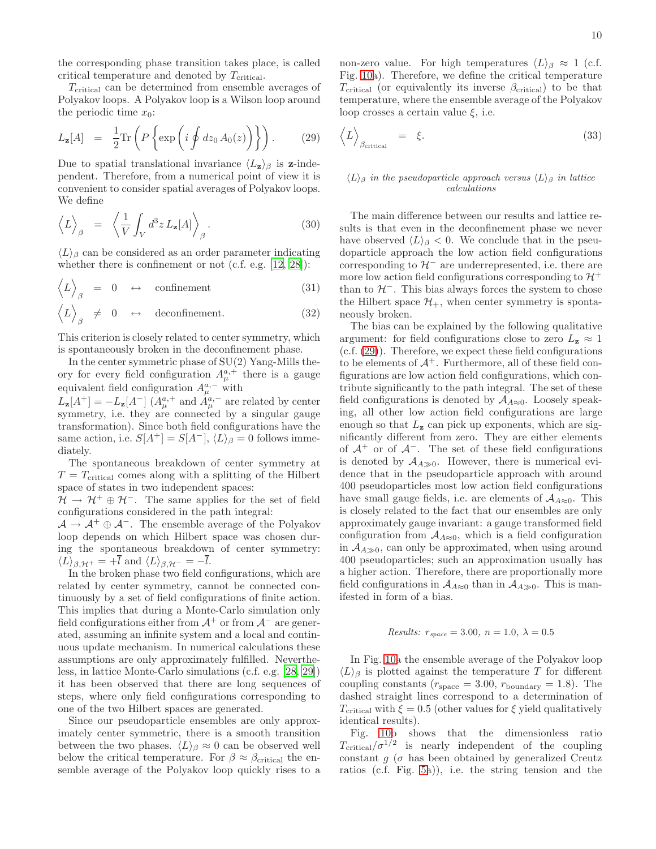the corresponding phase transition takes place, is called critical temperature and denoted by  $T_{\text{critical}}$ .

 $T_{\text{critical}}$  can be determined from ensemble averages of Polyakov loops. A Polyakov loop is a Wilson loop around the periodic time  $x_0$ :

<span id="page-9-0"></span>
$$
L_{\mathbf{z}}[A] = \frac{1}{2} \text{Tr} \left( P \left\{ \exp \left( i \oint dz_0 A_0(z) \right) \right\} \right). \tag{29}
$$

Due to spatial translational invariance  $\langle L_z \rangle_\beta$  is z-independent. Therefore, from a numerical point of view it is convenient to consider spatial averages of Polyakov loops. We define

$$
\langle L \rangle_{\beta} = \left\langle \frac{1}{V} \int_{V} d^{3}z L_{\mathbf{z}}[A] \right\rangle_{\beta}.
$$
 (30)

 $\langle L \rangle$ <sub>β</sub> can be considered as an order parameter indicating whether there is confinement or not (c.f. e.g. [\[12,](#page-17-12) [28\]](#page-17-28)):

$$
\langle L \rangle_{\beta} = 0 \leftrightarrow \text{confinement} \tag{31}
$$

 $\langle L \rangle$  $\beta \neq 0 \leftrightarrow$  deconfinement. (32)

This criterion is closely related to center symmetry, which is spontaneously broken in the deconfinement phase.

In the center symmetric phase of  $SU(2)$  Yang-Mills theory for every field configuration  $A_{\mu}^{a,+}$  there is a gauge equivalent field configuration  $A_{\mu}^{a,-}$  with

 $L_{\mathbf{z}}[A^+] = -L_{\mathbf{z}}[A^-] (A^{a,+}_{\mu} \text{ and } A^{a,-}_{\mu} \text{ are related by center})$ symmetry, i.e. they are connected by a singular gauge transformation). Since both field configurations have the same action, i.e.  $S[A^+] = S[A^-]$ ,  $\langle L \rangle_\beta = 0$  follows immediately.

The spontaneous breakdown of center symmetry at  $T = T_{\text{critical}}$  comes along with a splitting of the Hilbert space of states in two independent spaces:

 $\mathcal{H} \to \mathcal{H}^+ \oplus \mathcal{H}^-$ . The same applies for the set of field configurations considered in the path integral:

 $\mathcal{A} \to \mathcal{A}^+ \oplus \mathcal{A}^-$ . The ensemble average of the Polyakov loop depends on which Hilbert space was chosen during the spontaneous breakdown of center symmetry:  $\langle L \rangle_{\beta, \mathcal{H}^+} = +\overline{l}$  and  $\langle L \rangle_{\beta, \mathcal{H}^-} = -\overline{l}$ .

In the broken phase two field configurations, which are related by center symmetry, cannot be connected continuously by a set of field configurations of finite action. This implies that during a Monte-Carlo simulation only field configurations either from  $\mathcal{A}^+$  or from  $\mathcal{A}^-$  are generated, assuming an infinite system and a local and continuous update mechanism. In numerical calculations these assumptions are only approximately fulfilled. Nevertheless, in lattice Monte-Carlo simulations (c.f. e.g. [\[28,](#page-17-28) [29\]](#page-17-29)) it has been observed that there are long sequences of steps, where only field configurations corresponding to one of the two Hilbert spaces are generated.

Since our pseudoparticle ensembles are only approximately center symmetric, there is a smooth transition between the two phases.  $\langle L \rangle_\beta \approx 0$  can be observed well below the critical temperature. For  $\beta \approx \beta_{\text{critical}}$  the ensemble average of the Polyakov loop quickly rises to a non-zero value. For high temperatures  $\langle L \rangle_{\beta} \approx 1$  (c.f. Fig. [10a](#page-10-0)). Therefore, we define the critical temperature  $T_{\text{critical}}$  (or equivalently its inverse  $\beta_{\text{critical}}$ ) to be that temperature, where the ensemble average of the Polyakov loop crosses a certain value  $\xi$ , i.e.

$$
\langle L \rangle_{\beta_{\text{critical}}} = \xi. \tag{33}
$$

### $\langle L \rangle_{\beta}$  *in the pseudoparticle approach versus*  $\langle L \rangle_{\beta}$  *in lattice calculations*

The main difference between our results and lattice results is that even in the deconfinement phase we never have observed  $\langle L \rangle_{\beta} < 0$ . We conclude that in the pseudoparticle approach the low action field configurations corresponding to  $\mathcal{H}^-$  are underrepresented, i.e. there are more low action field configurations corresponding to  $\mathcal{H}^+$ than to  $H^-$ . This bias always forces the system to chose the Hilbert space  $\mathcal{H}_+$ , when center symmetry is spontaneously broken.

The bias can be explained by the following qualitative argument: for field configurations close to zero  $L_z \approx 1$ (c.f. [\(29\)](#page-9-0)). Therefore, we expect these field configurations to be elements of  $\mathcal{A}^+$ . Furthermore, all of these field configurations are low action field configurations, which contribute significantly to the path integral. The set of these field configurations is denoted by  $A_{A\approx 0}$ . Loosely speaking, all other low action field configurations are large enough so that  $L_z$  can pick up exponents, which are significantly different from zero. They are either elements of  $A^+$  or of  $A^-$ . The set of these field configurations is denoted by  $A_{A\gg0}$ . However, there is numerical evidence that in the pseudoparticle approach with around 400 pseudoparticles most low action field configurations have small gauge fields, i.e. are elements of  $A_{A\approx 0}$ . This is closely related to the fact that our ensembles are only approximately gauge invariant: a gauge transformed field configuration from  $A_{A\approx 0}$ , which is a field configuration in  $A_{A\gg0}$ , can only be approximated, when using around 400 pseudoparticles; such an approximation usually has a higher action. Therefore, there are proportionally more field configurations in  $A_{A\approx 0}$  than in  $A_{A\gg 0}$ . This is manifested in form of a bias.

# *Results:*  $r_{space} = 3.00, n = 1.0, \lambda = 0.5$

In Fig. [10a](#page-10-0) the ensemble average of the Polyakov loop  $\langle L \rangle$ <sub>β</sub> is plotted against the temperature T for different coupling constants ( $r_{\text{space}} = 3.00, r_{\text{boundary}} = 1.8$ ). The dashed straight lines correspond to a determination of T<sub>critical</sub> with  $\xi = 0.5$  (other values for  $\xi$  yield qualitatively identical results).

Fig. [10b](#page-10-0) shows that the dimensionless ratio  $T_{\text{critical}}/\sigma^{1/2}$  is nearly independent of the coupling constant  $q$  ( $\sigma$  has been obtained by generalized Creutz ratios (c.f. Fig. [5a](#page-6-0))), i.e. the string tension and the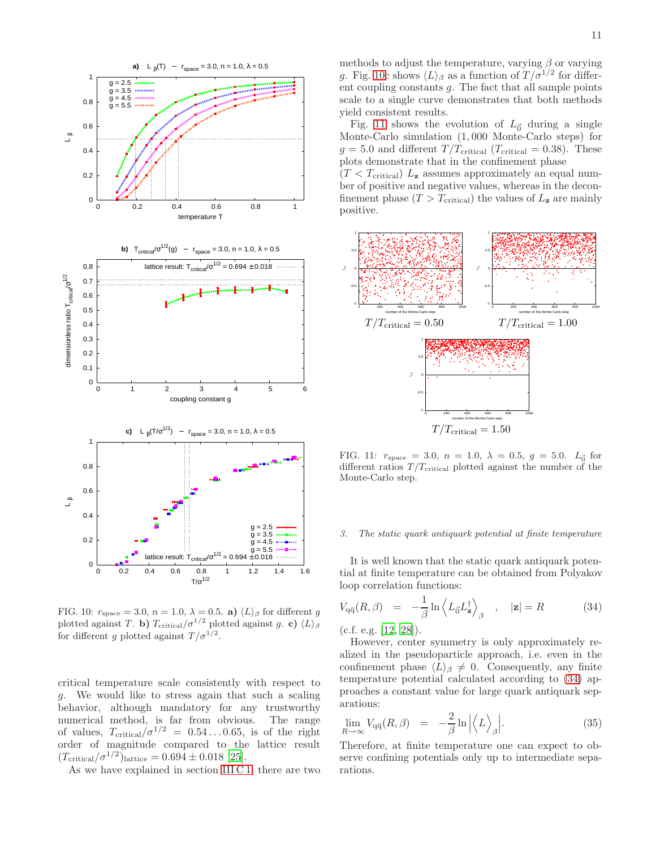

<span id="page-10-0"></span>FIG. 10:  $r_{\text{space}} = 3.0, n = 1.0, \lambda = 0.5$ . a)  $\langle L \rangle_{\beta}$  for different g plotted against T. b)  $T_{\text{critical}}/\sigma^{1/2}$  plotted against g. c)  $\langle L \rangle_{\beta}$ for different g plotted against  $T/\sigma^{1/2}$ .

critical temperature scale consistently with respect to g. We would like to stress again that such a scaling behavior, although mandatory for any trustworthy numerical method, is far from obvious. The range of values,  $T_{\text{critical}}/\sigma^{1/2} = 0.54 \dots 0.65$ , is of the right order of magnitude compared to the lattice result  $(T_{\text{critical}}/\sigma^{1/2})_{\text{lattice}} = 0.694 \pm 0.018$  [\[25\]](#page-17-25).

As we have explained in section [III C 1,](#page-7-2) there are two

methods to adjust the temperature, varying  $\beta$  or varying g. Fig. [10c](#page-10-0) shows  $\langle L \rangle_{\beta}$  as a function of  $T / \sigma^{1/2}$  for different coupling constants  $q$ . The fact that all sample points scale to a single curve demonstrates that both methods yield consistent results.

Fig. [11](#page-10-1) shows the evolution of  $L_{\vec{0}}$  during a single Monte-Carlo simulation (1, 000 Monte-Carlo steps) for  $g = 5.0$  and different  $T/T_{\text{critical}}$  ( $T_{\text{critical}} = 0.38$ ). These plots demonstrate that in the confinement phase

 $(T < T_{critical})$   $L_z$  assumes approximately an equal number of positive and negative values, whereas in the deconfinement phase  $(T > T_{critical})$  the values of  $L_z$  are mainly positive.



<span id="page-10-1"></span>FIG. 11:  $r_{\text{space}} = 3.0, n = 1.0, \lambda = 0.5, g = 5.0.$   $L_{\vec{0}}$  for different ratios  $T/T_{\text{critical}}$  plotted against the number of the Monte-Carlo step.

#### *3. The static quark antiquark potential at finite temperature*

It is well known that the static quark antiquark potential at finite temperature can be obtained from Polyakov loop correlation functions:

<span id="page-10-2"></span>
$$
V_{\mathbf{q}\bar{\mathbf{q}}}(R,\beta) = -\frac{1}{\beta} \ln \left\langle L_{\vec{0}} L_{\mathbf{z}}^{\dagger} \right\rangle_{\beta} , \quad |\mathbf{z}| = R \tag{34}
$$

(c.f. e.g. [\[12](#page-17-12), [28](#page-17-28)]).

However, center symmetry is only approximately realized in the pseudoparticle approach, i.e. even in the confinement phase  $\langle L \rangle_{\beta} \neq 0$ . Consequently, any finite temperature potential calculated according to [\(34\)](#page-10-2) approaches a constant value for large quark antiquark separations:

$$
\lim_{R \to \infty} V_{q\bar{q}}(R,\beta) = -\frac{2}{\beta} \ln \left| \left\langle L \right\rangle_{\beta} \right|.
$$
 (35)

Therefore, at finite temperature one can expect to observe confining potentials only up to intermediate separations.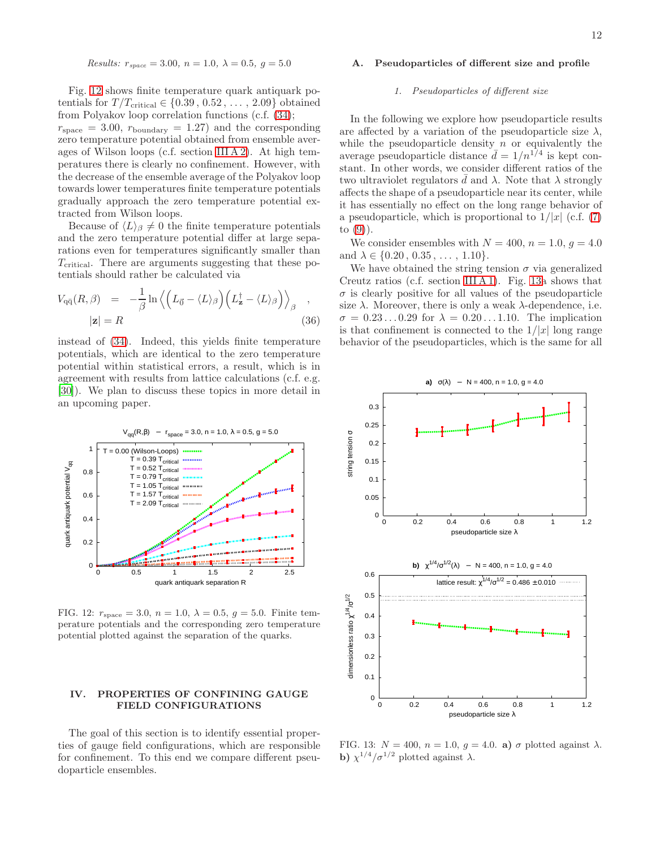Results: 
$$
r_{space} = 3.00
$$
,  $n = 1.0$ ,  $\lambda = 0.5$ ,  $g = 5.0$ 

Fig. [12](#page-11-2) shows finite temperature quark antiquark potentials for  $T/T_{\text{critical}} \in \{0.39, 0.52, \ldots, 2.09\}$  obtained from Polyakov loop correlation functions (c.f. [\(34\)](#page-10-2);

 $r_{\text{space}} = 3.00, r_{\text{boundary}} = 1.27$  and the corresponding zero temperature potential obtained from ensemble averages of Wilson loops (c.f. section [III A 2\)](#page-6-3). At high temperatures there is clearly no confinement. However, with the decrease of the ensemble average of the Polyakov loop towards lower temperatures finite temperature potentials gradually approach the zero temperature potential extracted from Wilson loops.

Because of  $\langle L \rangle_{\beta} \neq 0$  the finite temperature potentials and the zero temperature potential differ at large separations even for temperatures significantly smaller than  $T_{\text{critical}}$ . There are arguments suggesting that these potentials should rather be calculated via

$$
V_{\mathbf{q}\bar{\mathbf{q}}}(R,\beta) = -\frac{1}{\beta} \ln \left\langle \left( L_{\vec{0}} - \langle L \rangle_{\beta} \right) \left( L_{\mathbf{z}}^{\dagger} - \langle L \rangle_{\beta} \right) \right\rangle_{\beta} ,
$$
  
 
$$
|\mathbf{z}| = R
$$
 (36)

instead of [\(34\)](#page-10-2). Indeed, this yields finite temperature potentials, which are identical to the zero temperature potential within statistical errors, a result, which is in agreement with results from lattice calculations (c.f. e.g. [\[30\]](#page-17-30)). We plan to discuss these topics in more detail in an upcoming paper.



<span id="page-11-2"></span>FIG. 12:  $r_{\text{space}} = 3.0, n = 1.0, \lambda = 0.5, g = 5.0$ . Finite temperature potentials and the corresponding zero temperature potential plotted against the separation of the quarks.

# <span id="page-11-0"></span>IV. PROPERTIES OF CONFINING GAUGE FIELD CONFIGURATIONS

The goal of this section is to identify essential properties of gauge field configurations, which are responsible for confinement. To this end we compare different pseudoparticle ensembles.

# A. Pseudoparticles of different size and profile

#### <span id="page-11-1"></span>*1. Pseudoparticles of different size*

In the following we explore how pseudoparticle results are affected by a variation of the pseudoparticle size  $\lambda$ , while the pseudoparticle density  $n$  or equivalently the average pseudoparticle distance  $\bar{d} = 1/n^{1/4}$  is kept constant. In other words, we consider different ratios of the two ultraviolet regulators  $\bar{d}$  and  $\lambda$ . Note that  $\lambda$  strongly affects the shape of a pseudoparticle near its center, while it has essentially no effect on the long range behavior of a pseudoparticle, which is proportional to  $1/|x|$  (c.f. [\(7\)](#page-1-0) to  $(9)$ ).

We consider ensembles with  $N = 400$ ,  $n = 1.0$ ,  $q = 4.0$ and  $\lambda \in \{0.20, 0.35, \ldots, 1.10\}.$ 

We have obtained the string tension  $\sigma$  via generalized Creutz ratios (c.f. section [III A 1\)](#page-4-1). Fig. [13a](#page-11-3) shows that  $\sigma$  is clearly positive for all values of the pseudoparticle size  $\lambda$ . Moreover, there is only a weak  $\lambda$ -dependence, i.e.  $\sigma = 0.23 \dots 0.29$  for  $\lambda = 0.20 \dots 1.10$ . The implication is that confinement is connected to the  $1/|x|$  long range behavior of the pseudoparticles, which is the same for all



<span id="page-11-3"></span>FIG. 13:  $N = 400$ ,  $n = 1.0$ ,  $q = 4.0$ . a)  $\sigma$  plotted against  $\lambda$ . b)  $\chi^{1/4}/\sigma^{1/2}$  plotted against  $\lambda$ .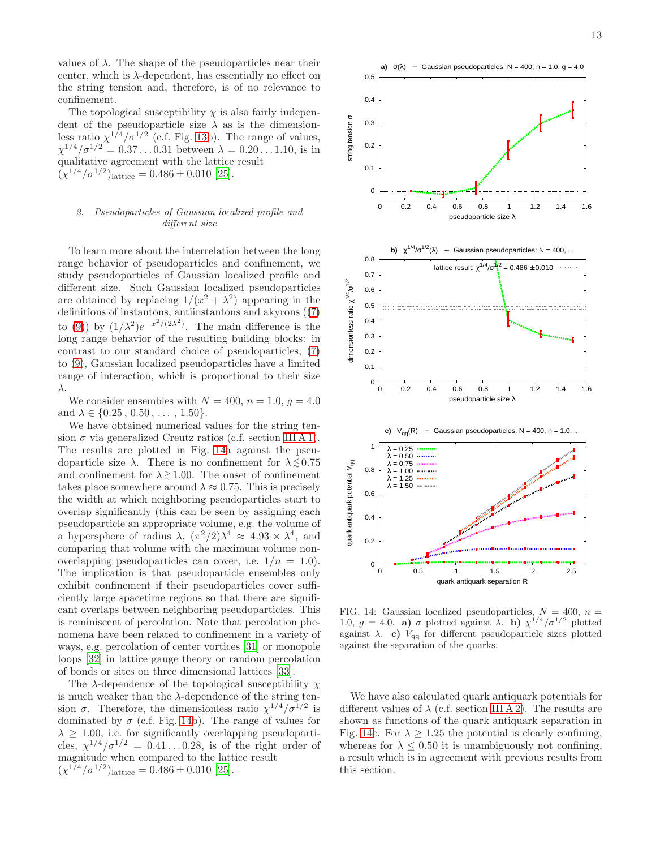values of  $\lambda$ . The shape of the pseudoparticles near their center, which is  $\lambda$ -dependent, has essentially no effect on the string tension and, therefore, is of no relevance to confinement.

The topological susceptibility  $\chi$  is also fairly independent of the pseudoparticle size  $\lambda$  as is the dimensionless ratio  $\chi^{1/4}/\sigma^{1/2}$  (c.f. Fig. [13b](#page-11-3)). The range of values,  $\chi^{1/4}/\sigma^{1/2} = 0.37...0.31$  between  $\lambda = 0.20...1.10$ , is in qualitative agreement with the lattice result  $(\chi^{1/4}/\sigma^{1/2})$ lattice = 0.486 ± 0.010 [\[25](#page-17-25)].

# <span id="page-12-0"></span>*2. Pseudoparticles of Gaussian localized profile and different size*

To learn more about the interrelation between the long range behavior of pseudoparticles and confinement, we study pseudoparticles of Gaussian localized profile and different size. Such Gaussian localized pseudoparticles are obtained by replacing  $1/(x^2 + \lambda^2)$  appearing in the definitions of instantons, antiinstantons and akyrons ([\(7\)](#page-1-0) to [\(9\)](#page-1-0)) by  $(1/\lambda^2)e^{-x^2/(2\lambda^2)}$ . The main difference is the long range behavior of the resulting building blocks: in contrast to our standard choice of pseudoparticles, [\(7\)](#page-1-0) to [\(9\)](#page-1-0), Gaussian localized pseudoparticles have a limited range of interaction, which is proportional to their size λ.

We consider ensembles with  $N = 400$ ,  $n = 1.0$ ,  $g = 4.0$ and  $\lambda \in \{0.25, 0.50, \ldots, 1.50\}.$ 

We have obtained numerical values for the string tension  $\sigma$  via generalized Creutz ratios (c.f. section [III A 1\)](#page-4-1). The results are plotted in Fig. [14a](#page-12-1) against the pseudoparticle size  $\lambda$ . There is no confinement for  $\lambda \lesssim 0.75$ and confinement for  $\lambda \gtrsim 1.00$ . The onset of confinement takes place somewhere around  $\lambda \approx 0.75$ . This is precisely the width at which neighboring pseudoparticles start to overlap significantly (this can be seen by assigning each pseudoparticle an appropriate volume, e.g. the volume of a hypersphere of radius  $\lambda$ ,  $(\pi^2/2)\lambda^4 \approx 4.93 \times \lambda^4$ , and comparing that volume with the maximum volume nonoverlapping pseudoparticles can cover, i.e.  $1/n = 1.0$ . The implication is that pseudoparticle ensembles only exhibit confinement if their pseudoparticles cover sufficiently large spacetime regions so that there are significant overlaps between neighboring pseudoparticles. This is reminiscent of percolation. Note that percolation phenomena have been related to confinement in a variety of ways, e.g. percolation of center vortices [\[31\]](#page-17-31) or monopole loops [\[32\]](#page-17-32) in lattice gauge theory or random percolation of bonds or sites on three dimensional lattices [\[33](#page-17-33)].

The  $\lambda$ -dependence of the topological susceptibility  $\chi$ is much weaker than the  $\lambda$ -dependence of the string tension  $\sigma$ . Therefore, the dimensionless ratio  $\chi^{1/4}/\sigma^{1/2}$  is dominated by  $\sigma$  (c.f. Fig. [14b](#page-12-1)). The range of values for  $\lambda > 1.00$ , i.e. for significantly overlapping pseudoparticles,  $\chi^{1/4}/\sigma^{1/2} = 0.41 \ldots 0.28$ , is of the right order of magnitude when compared to the lattice result  $(\chi^{1/4}/\sigma^{1/2})$ lattice = 0.486 ± 0.010 [\[25](#page-17-25)].



<span id="page-12-1"></span>FIG. 14: Gaussian localized pseudoparticles,  $N = 400$ ,  $n =$ 1.0,  $g = 4.0$ . a)  $\sigma$  plotted against  $\lambda$ . b)  $\chi^{1/4}/\sigma^{1/2}$  plotted against  $\lambda$ . c)  $V_{q\bar{q}}$  for different pseudoparticle sizes plotted against the separation of the quarks.

We have also calculated quark antiquark potentials for different values of  $\lambda$  (c.f. section [III A 2\)](#page-6-3). The results are shown as functions of the quark antiquark separation in Fig. [14c](#page-12-1). For  $\lambda > 1.25$  the potential is clearly confining, whereas for  $\lambda \leq 0.50$  it is unambiguously not confining, a result which is in agreement with previous results from this section.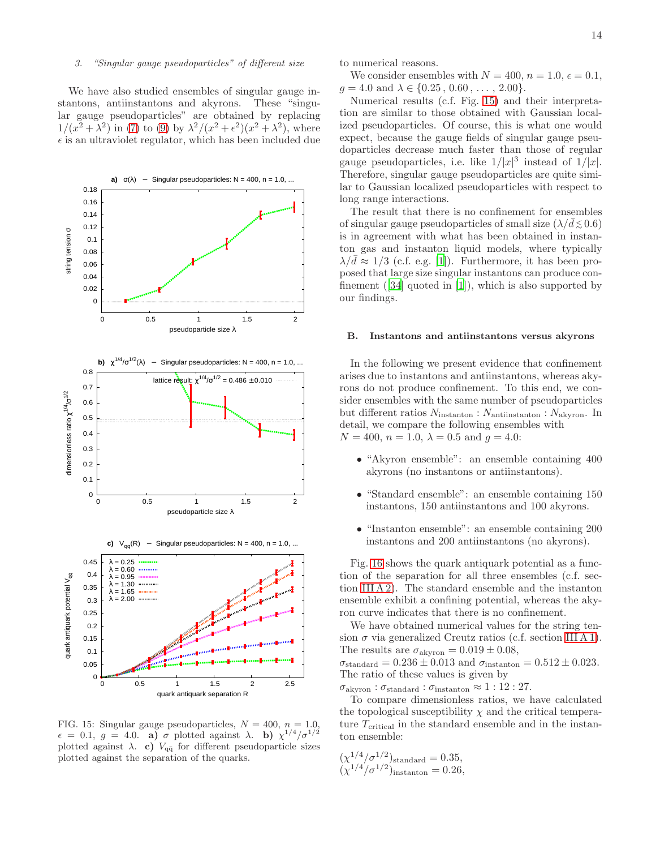# *3. "Singular gauge pseudoparticles" of different size*

We have also studied ensembles of singular gauge instantons, antiinstantons and akyrons. These "singular gauge pseudoparticles" are obtained by replacing  $1/(x^2 + \lambda^2)$  in [\(7\)](#page-1-0) to [\(9\)](#page-1-0) by  $\lambda^2/(x^2 + \epsilon^2)(x^2 + \lambda^2)$ , where  $\epsilon$  is an ultraviolet regulator, which has been included due



<span id="page-13-1"></span>FIG. 15: Singular gauge pseudoparticles,  $N = 400$ ,  $n = 1.0$ ,  $\epsilon = 0.1, g = 4.0$ . a)  $\sigma$  plotted against  $\lambda$ . b)  $\chi^{1/4}/\sigma^{1/2}$ plotted against  $\lambda$ . c)  $V_{q\bar{q}}$  for different pseudoparticle sizes plotted against the separation of the quarks.

to numerical reasons.

We consider ensembles with  $N = 400$ ,  $n = 1.0$ ,  $\epsilon = 0.1$ ,  $g = 4.0$  and  $\lambda \in \{0.25, 0.60, \ldots, 2.00\}.$ 

Numerical results (c.f. Fig. [15\)](#page-13-1) and their interpretation are similar to those obtained with Gaussian localized pseudoparticles. Of course, this is what one would expect, because the gauge fields of singular gauge pseudoparticles decrease much faster than those of regular gauge pseudoparticles, i.e. like  $1/|x|^3$  instead of  $1/|x|$ . Therefore, singular gauge pseudoparticles are quite similar to Gaussian localized pseudoparticles with respect to long range interactions.

The result that there is no confinement for ensembles of singular gauge pseudoparticles of small size  $(\lambda/\bar{d} \lesssim 0.6)$ is in agreement with what has been obtained in instanton gas and instanton liquid models, where typically  $\lambda/\bar{d} \approx 1/3$  (c.f. e.g. [\[1](#page-17-0)]). Furthermore, it has been proposed that large size singular instantons can produce confinement([\[34\]](#page-17-34) quoted in [\[1](#page-17-0)]), which is also supported by our findings.

### <span id="page-13-0"></span>B. Instantons and antiinstantons versus akyrons

In the following we present evidence that confinement arises due to instantons and antiinstantons, whereas akyrons do not produce confinement. To this end, we consider ensembles with the same number of pseudoparticles but different ratios  $N_{\text{instanton}}$ :  $N_{\text{antinstanton}}$ :  $N_{\text{akyron}}$ . In detail, we compare the following ensembles with  $N = 400$ ,  $n = 1.0$ ,  $\lambda = 0.5$  and  $q = 4.0$ :

- "Akyron ensemble": an ensemble containing 400 akyrons (no instantons or antiinstantons).
- "Standard ensemble": an ensemble containing 150 instantons, 150 antiinstantons and 100 akyrons.
- "Instanton ensemble": an ensemble containing 200 instantons and 200 antiinstantons (no akyrons).

Fig. [16](#page-14-1) shows the quark antiquark potential as a function of the separation for all three ensembles (c.f. section [III A 2\)](#page-6-3). The standard ensemble and the instanton ensemble exhibit a confining potential, whereas the akyron curve indicates that there is no confinement.

We have obtained numerical values for the string tension  $\sigma$  via generalized Creutz ratios (c.f. section [III A 1\)](#page-4-1). The results are  $\sigma_{\text{akyron}} = 0.019 \pm 0.08$ ,

 $\sigma_{\text{standard}} = 0.236 \pm 0.013$  and  $\sigma_{\text{instanton}} = 0.512 \pm 0.023$ . The ratio of these values is given by

 $\sigma_{\text{akvron}}$ :  $\sigma_{\text{standard}}$ :  $\sigma_{\text{instanton}} \approx 1:12:27$ .

To compare dimensionless ratios, we have calculated the topological susceptibility  $\chi$  and the critical temperature  $T_{\text{critical}}$  in the standard ensemble and in the instanton ensemble:

$$
(\chi^{1/4}/\sigma^{1/2})_{\text{standard}} = 0.35,(\chi^{1/4}/\sigma^{1/2})_{\text{instanton}} = 0.26,
$$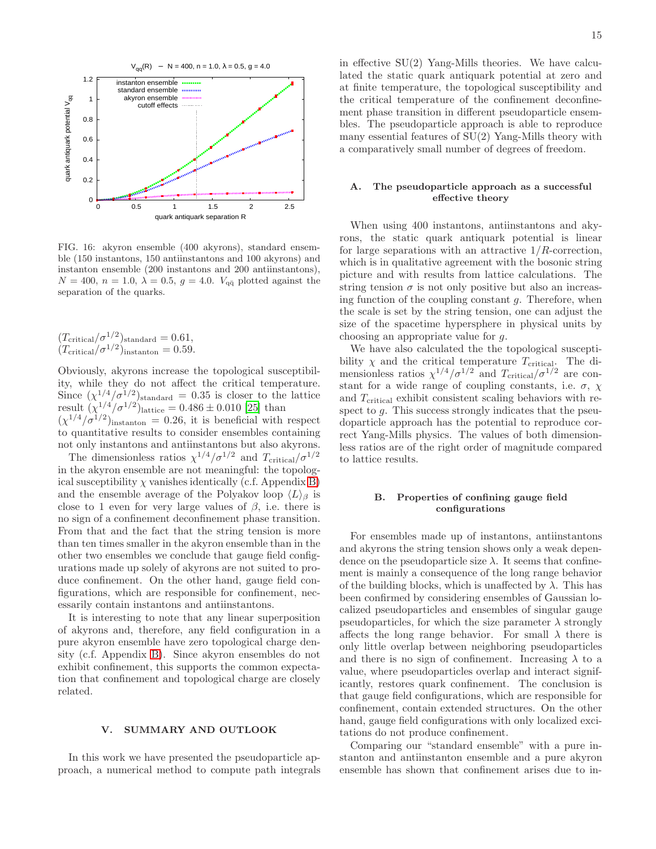

<span id="page-14-1"></span>FIG. 16: akyron ensemble (400 akyrons), standard ensemble (150 instantons, 150 antiinstantons and 100 akyrons) and instanton ensemble (200 instantons and 200 antiinstantons),  $N = 400$ ,  $n = 1.0$ ,  $\lambda = 0.5$ ,  $g = 4.0$ .  $V_{q\bar{q}}$  plotted against the separation of the quarks.

$$
(T_{\text{critical}}/\sigma^{1/2})_{\text{standard}} = 0.61,
$$
  

$$
(T_{\text{critical}}/\sigma^{1/2})_{\text{instanton}} = 0.59.
$$

Obviously, akyrons increase the topological susceptibility, while they do not affect the critical temperature. Since  $(\chi^{1/4}/\sigma^{1/2})_{\text{standard}} = 0.35$  is closer to the lattice result  $(\chi^{1/4}/\sigma^{1/2})$ <sub>lattice</sub> = 0.486 ± 0.010 [\[25\]](#page-17-25) than  $(\chi^{1/4}/\sigma^{1/2})_{\text{instanton}} = 0.26$ , it is beneficial with respect to quantitative results to consider ensembles containing not only instantons and antiinstantons but also akyrons.

The dimensionless ratios  $\chi^{1/4}/\sigma^{1/2}$  and  $T_{\text{critical}}/\sigma^{1/2}$ in the akyron ensemble are not meaningful: the topological susceptibility  $\chi$  vanishes identically (c.f. Appendix [B\)](#page-15-1) and the ensemble average of the Polyakov loop  $\langle L \rangle_{\beta}$  is close to 1 even for very large values of  $\beta$ , i.e. there is no sign of a confinement deconfinement phase transition. From that and the fact that the string tension is more than ten times smaller in the akyron ensemble than in the other two ensembles we conclude that gauge field configurations made up solely of akyrons are not suited to produce confinement. On the other hand, gauge field configurations, which are responsible for confinement, necessarily contain instantons and antiinstantons.

It is interesting to note that any linear superposition of akyrons and, therefore, any field configuration in a pure akyron ensemble have zero topological charge density (c.f. Appendix [B\)](#page-15-1). Since akyron ensembles do not exhibit confinement, this supports the common expectation that confinement and topological charge are closely related.

### <span id="page-14-0"></span>V. SUMMARY AND OUTLOOK

In this work we have presented the pseudoparticle approach, a numerical method to compute path integrals in effective  $SU(2)$  Yang-Mills theories. We have calculated the static quark antiquark potential at zero and at finite temperature, the topological susceptibility and the critical temperature of the confinement deconfinement phase transition in different pseudoparticle ensembles. The pseudoparticle approach is able to reproduce many essential features of SU(2) Yang-Mills theory with a comparatively small number of degrees of freedom.

## A. The pseudoparticle approach as a successful effective theory

When using 400 instantons, antiinstantons and akyrons, the static quark antiquark potential is linear for large separations with an attractive  $1/R$ -correction, which is in qualitative agreement with the bosonic string picture and with results from lattice calculations. The string tension  $\sigma$  is not only positive but also an increasing function of the coupling constant  $q$ . Therefore, when the scale is set by the string tension, one can adjust the size of the spacetime hypersphere in physical units by choosing an appropriate value for g.

We have also calculated the the topological susceptibility  $\chi$  and the critical temperature  $T_{\text{critical}}$ . The dimensionless ratios  $\chi^{1/4}/\sigma^{1/2}$  and  $T_{\text{critical}}/\sigma^{1/2}$  are constant for a wide range of coupling constants, i.e.  $\sigma$ ,  $\chi$ and  $T_{\rm critical}$  exhibit consistent scaling behaviors with respect to g. This success strongly indicates that the pseudoparticle approach has the potential to reproduce correct Yang-Mills physics. The values of both dimensionless ratios are of the right order of magnitude compared to lattice results.

### B. Properties of confining gauge field configurations

For ensembles made up of instantons, antiinstantons and akyrons the string tension shows only a weak dependence on the pseudoparticle size  $\lambda$ . It seems that confinement is mainly a consequence of the long range behavior of the building blocks, which is unaffected by  $\lambda$ . This has been confirmed by considering ensembles of Gaussian localized pseudoparticles and ensembles of singular gauge pseudoparticles, for which the size parameter  $\lambda$  strongly affects the long range behavior. For small  $\lambda$  there is only little overlap between neighboring pseudoparticles and there is no sign of confinement. Increasing  $\lambda$  to a value, where pseudoparticles overlap and interact significantly, restores quark confinement. The conclusion is that gauge field configurations, which are responsible for confinement, contain extended structures. On the other hand, gauge field configurations with only localized excitations do not produce confinement.

Comparing our "standard ensemble" with a pure instanton and antiinstanton ensemble and a pure akyron ensemble has shown that confinement arises due to in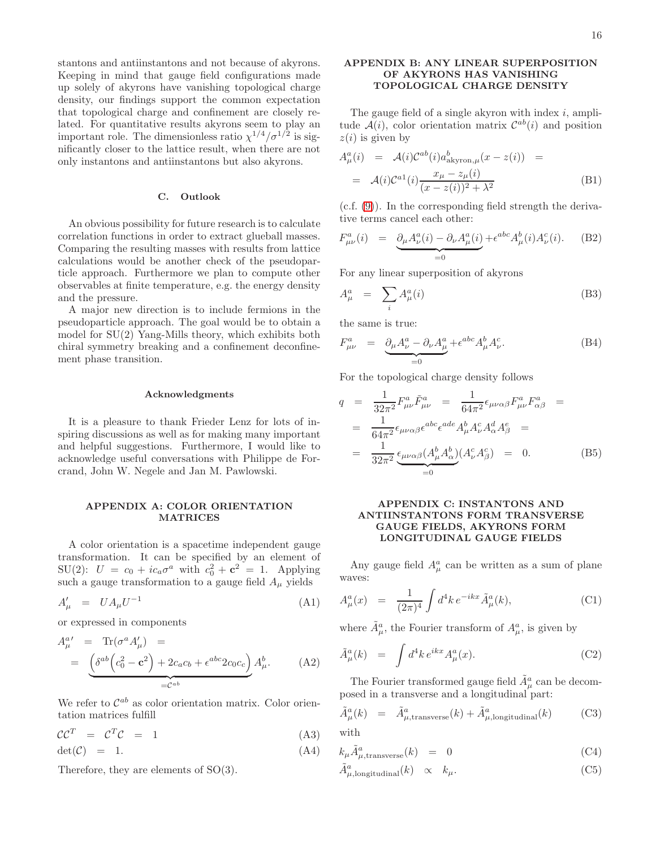stantons and antiinstantons and not because of akyrons. Keeping in mind that gauge field configurations made up solely of akyrons have vanishing topological charge density, our findings support the common expectation that topological charge and confinement are closely related. For quantitative results akyrons seem to play an important role. The dimensionless ratio  $\chi^{1/4}/\sigma^{1/2}$  is significantly closer to the lattice result, when there are not only instantons and antiinstantons but also akyrons.

### C. Outlook

An obvious possibility for future research is to calculate correlation functions in order to extract glueball masses. Comparing the resulting masses with results from lattice calculations would be another check of the pseudoparticle approach. Furthermore we plan to compute other observables at finite temperature, e.g. the energy density and the pressure.

A major new direction is to include fermions in the pseudoparticle approach. The goal would be to obtain a model for SU(2) Yang-Mills theory, which exhibits both chiral symmetry breaking and a confinement deconfinement phase transition.

#### Acknowledgments

It is a pleasure to thank Frieder Lenz for lots of inspiring discussions as well as for making many important and helpful suggestions. Furthermore, I would like to acknowledge useful conversations with Philippe de Forcrand, John W. Negele and Jan M. Pawlowski.

## <span id="page-15-0"></span>APPENDIX A: COLOR ORIENTATION MATRICES

A color orientation is a spacetime independent gauge transformation. It can be specified by an element of SU(2):  $U = c_0 + ic_a \sigma^a$  with  $c_0^2 + c^2 = 1$ . Applying such a gauge transformation to a gauge field  $A_\mu$  yields

$$
A'_{\mu} = U A_{\mu} U^{-1} \tag{A1}
$$

or expressed in components

$$
A_{\mu}^{a'} = \text{Tr}(\sigma^a A'_{\mu}) =
$$
  
= 
$$
\underbrace{\left(\delta^{ab}\left(c_0^2 - \mathbf{c}^2\right) + 2c_a c_b + \epsilon^{abc} 2c_0 c_c\right)}_{=C^{ab}} A_{\mu}^b.
$$
 (A2)

We refer to  $\mathcal{C}^{ab}$  as color orientation matrix. Color orientation matrices fulfill

$$
\mathcal{C}\mathcal{C}^T = \mathcal{C}^T\mathcal{C} = 1 \tag{A3}
$$

 $\det(\mathcal{C}) = 1.$  (A4)

Therefore, they are elements of SO(3).

## <span id="page-15-1"></span>APPENDIX B: ANY LINEAR SUPERPOSITION OF AKYRONS HAS VANISHING TOPOLOGICAL CHARGE DENSITY

The gauge field of a single akyron with index  $i$ , amplitude  $A(i)$ , color orientation matrix  $C^{ab}(i)$  and position  $z(i)$  is given by

$$
A_{\mu}^{a}(i) = \mathcal{A}(i)\mathcal{C}^{ab}(i)a_{\text{akyron},\mu}^{b}(x-z(i)) =
$$
  

$$
= \mathcal{A}(i)\mathcal{C}^{a1}(i)\frac{x_{\mu} - z_{\mu}(i)}{(x-z(i))^2 + \lambda^2}
$$
(B1)

(c.f. [\(9\)](#page-1-0)). In the corresponding field strength the derivative terms cancel each other:

$$
F^{a}_{\mu\nu}(i) = \underbrace{\partial_{\mu}A^{a}_{\nu}(i) - \partial_{\nu}A^{a}_{\mu}(i)}_{=0} + \epsilon^{abc}A^{b}_{\mu}(i)A^{c}_{\nu}(i). \tag{B2}
$$

For any linear superposition of akyrons

$$
A_{\mu}^{a} = \sum_{i} A_{\mu}^{a}(i) \tag{B3}
$$

the same is true:

$$
F^{a}_{\mu\nu} = \underbrace{\partial_{\mu}A^{a}_{\nu} - \partial_{\nu}A^{a}_{\mu}}_{=0} + \epsilon^{abc}A^{b}_{\mu}A^{c}_{\nu}.
$$
 (B4)

For the topological charge density follows

$$
q = \frac{1}{32\pi^2} F^a_{\mu\nu} \tilde{F}^a_{\mu\nu} = \frac{1}{64\pi^2} \epsilon_{\mu\nu\alpha\beta} F^a_{\mu\nu} F^a_{\alpha\beta} =
$$
  
\n
$$
= \frac{1}{64\pi^2} \epsilon_{\mu\nu\alpha\beta} \epsilon^{abc} \epsilon^{ade} A^b_\mu A^c_\nu A^d_\alpha A^e_\beta =
$$
  
\n
$$
= \frac{1}{32\pi^2} \underbrace{\epsilon_{\mu\nu\alpha\beta} (A^b_\mu A^b_\alpha)}_{=0} (A^c_\nu A^c_\beta) = 0. \qquad (B5)
$$

# <span id="page-15-2"></span>APPENDIX C: INSTANTONS AND ANTIINSTANTONS FORM TRANSVERSE GAUGE FIELDS, AKYRONS FORM LONGITUDINAL GAUGE FIELDS

Any gauge field  $A^a_\mu$  can be written as a sum of plane waves:

$$
A_{\mu}^{a}(x) = \frac{1}{(2\pi)^{4}} \int d^{4}k \, e^{-ikx} \tilde{A}_{\mu}^{a}(k), \tag{C1}
$$

where  $\tilde{A}^a_\mu$ , the Fourier transform of  $A^a_\mu$ , is given by

$$
\tilde{A}^a_\mu(k) = \int d^4k \, e^{ikx} A^a_\mu(x). \tag{C2}
$$

The Fourier transformed gauge field  $\tilde{A}_\mu^a$  can be decomposed in a transverse and a longitudinal part:

$$
\tilde{A}^a_\mu(k) = \tilde{A}^a_{\mu, \text{transverse}}(k) + \tilde{A}^a_{\mu, \text{longitudinal}}(k) \tag{C3}
$$

with

<span id="page-15-3"></span>
$$
k_{\mu}\tilde{A}^a_{\mu, \text{transverse}}(k) = 0 \tag{C4}
$$

$$
\tilde{A}^a_{\mu,\text{longitudinal}}(k) \quad \propto \quad k_\mu. \tag{C5}
$$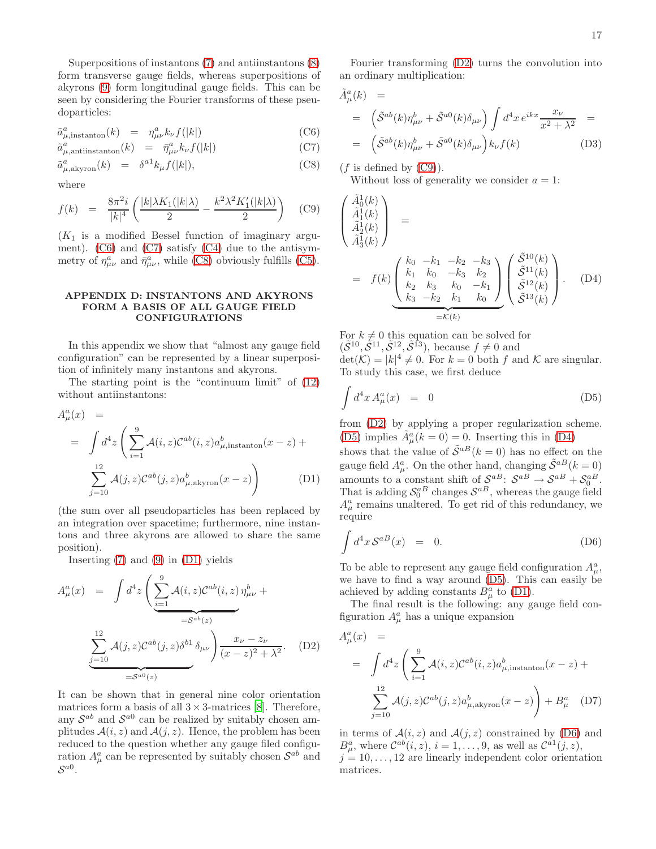Superpositions of instantons  $(7)$  and antiinstantons  $(8)$ form transverse gauge fields, whereas superpositions of akyrons [\(9\)](#page-1-0) form longitudinal gauge fields. This can be seen by considering the Fourier transforms of these pseudoparticles:

<span id="page-16-1"></span>
$$
\tilde{a}^a_{\mu,\text{instanton}}(k) = \eta^a_{\mu\nu} k_\nu f(|k|) \tag{C6}
$$

$$
\tilde{a}^a_{\mu, \text{antinstanton}}(k) = \bar{\eta}^a_{\mu\nu} k_{\nu} f(|k|) \tag{C7}
$$

$$
\tilde{a}^a_{\mu,\text{akyron}}(k) = \delta^{a1} k_\mu f(|k|), \tag{C8}
$$

where

<span id="page-16-4"></span>
$$
f(k) = \frac{8\pi^2 i}{|k|^4} \left( \frac{|k|\lambda K_1(|k|\lambda)}{2} - \frac{k^2 \lambda^2 K_1'(|k|\lambda)}{2} \right) \quad \text{(C9)}
$$

 $(K_1$  is a modified Bessel function of imaginary argument).  $(C6)$  and  $(C7)$  satisfy  $(C4)$  due to the antisymmetry of  $\eta^a_{\mu\nu}$  and  $\bar{\eta}^a_{\mu\nu}$ , while [\(C8\)](#page-16-1) obviously fulfills [\(C5\)](#page-15-3).

## <span id="page-16-0"></span>APPENDIX D: INSTANTONS AND AKYRONS FORM A BASIS OF ALL GAUGE FIELD CONFIGURATIONS

In this appendix we show that "almost any gauge field configuration" can be represented by a linear superposition of infinitely many instantons and akyrons.

The starting point is the "continuum limit" of [\(12\)](#page-2-1) without antiinstantons:

<span id="page-16-2"></span>
$$
A_{\mu}^{a}(x) =
$$
  
= 
$$
\int d^{4}z \left( \sum_{i=1}^{9} \mathcal{A}(i, z) \mathcal{C}^{ab}(i, z) a_{\mu, \text{instanton}}^{b}(x - z) + \sum_{j=10}^{12} \mathcal{A}(j, z) \mathcal{C}^{ab}(j, z) a_{\mu, \text{akyron}}^{b}(x - z) \right)
$$
 (D1)

(the sum over all pseudoparticles has been replaced by an integration over spacetime; furthermore, nine instantons and three akyrons are allowed to share the same position).

Inserting  $(7)$  and  $(9)$  in  $(D1)$  yields

<span id="page-16-3"></span>
$$
A_{\mu}^{a}(x) = \int d^{4}z \left( \underbrace{\sum_{i=1}^{9} \mathcal{A}(i, z) \mathcal{C}^{ab}(i, z)}_{=\mathcal{S}^{ab}(z)} \eta_{\mu\nu}^{b} + \underbrace{\sum_{j=10}^{12} \mathcal{A}(j, z) \mathcal{C}^{ab}(j, z) \delta^{b1} \delta_{\mu\nu}}_{=\mathcal{S}^{a0}(z)} \right) \frac{x_{\nu} - z_{\nu}}{(x - z)^{2} + \lambda^{2}}.
$$
 (D2)

It can be shown that in general nine color orientation matrices form a basis of all  $3 \times 3$ -matrices [\[8\]](#page-17-7). Therefore, any  $S^{ab}$  and  $S^{a0}$  can be realized by suitably chosen amplitudes  $A(i, z)$  and  $A(j, z)$ . Hence, the problem has been reduced to the question whether any gauge filed configuration  $A^a_\mu$  can be represented by suitably chosen  $\mathcal{S}^{ab}$  and  $\mathcal{S}^{a0}.$ 

Fourier transforming [\(D2\)](#page-16-3) turns the convolution into an ordinary multiplication:

$$
\tilde{A}^a_\mu(k) =
$$
\n
$$
= \left( \tilde{S}^{ab}(k)\eta^b_{\mu\nu} + \tilde{S}^{a0}(k)\delta_{\mu\nu} \right) \int d^4x \, e^{ikx} \frac{x_\nu}{x^2 + \lambda^2} =
$$
\n
$$
= \left( \tilde{S}^{ab}(k)\eta^b_{\mu\nu} + \tilde{S}^{a0}(k)\delta_{\mu\nu} \right) k_\nu f(k) \tag{D3}
$$

 $(f$  is defined by  $(C9)$ ).

 $\sqrt{ }$ 

<span id="page-16-6"></span> $\overline{\phantom{a}}$ 

Without loss of generality we consider  $a = 1$ :

$$
\begin{aligned}\n\tilde{A}_1^{1}(k) \\
\tilde{A}_1^{1}(k) \\
\tilde{A}_3^{1}(k)\n\end{aligned} = \n\begin{pmatrix}\n\tilde{A}_2^{1}(k) \\
\tilde{A}_3^{1}(k)\n\end{pmatrix} = f(k) \begin{pmatrix}\nk_0 & -k_1 & -k_2 & -k_3 \\
k_1 & k_0 & -k_3 & k_2 \\
k_2 & k_3 & k_0 & -k_1 \\
k_3 & -k_2 & k_1 & k_0\n\end{pmatrix} \begin{pmatrix}\n\tilde{S}^{10}(k) \\
\tilde{S}^{11}(k) \\
\tilde{S}^{12}(k) \\
\tilde{S}^{13}(k)\n\end{pmatrix} .\n\quad (D4)
$$

For  $k \neq 0$  this equation can be solved for  $(\tilde{\mathcal{S}}^{10}, \tilde{\mathcal{S}}^{11}, \tilde{\mathcal{S}}^{12}, \tilde{\mathcal{S}}^{13}),$  because  $f \neq 0$  and  $\det(\mathcal{K}) = |k|^4 \neq 0$ . For  $k = 0$  both f and K are singular. To study this case, we first deduce

<span id="page-16-5"></span>
$$
\int d^4x A^a_\mu(x) = 0 \tag{D5}
$$

from [\(D2\)](#page-16-3) by applying a proper regularization scheme. [\(D5\)](#page-16-5) implies  $\tilde{A}^a_\mu(k=0) = 0$ . Inserting this in [\(D4\)](#page-16-6)

shows that the value of  $\tilde{\mathcal{S}}^{a}$  ( $k = 0$ ) has no effect on the gauge field  $A^a_\mu$ . On the other hand, changing  $\tilde{\mathcal{S}}^{a}$  $(k=0)$ amounts to a constant shift of  $S^{aB}$ :  $S^{aB} \rightarrow S^{aB} + S^{aB}_0$ . That is adding  $S_0^{aB}$  changes  $S^{aB}$ , whereas the gauge field  $A^a_\mu$  remains unaltered. To get rid of this redundancy, we require

<span id="page-16-7"></span>
$$
\int d^4x \, \mathcal{S}^{a}{}^B(x) = 0. \tag{D6}
$$

To be able to represent any gauge field configuration  $A^a_\mu$ , we have to find a way around [\(D5\)](#page-16-5). This can easily be achieved by adding constants  $B^a_\mu$  to [\(D1\)](#page-16-2).

The final result is the following: any gauge field configuration  $A^a_\mu$  has a unique expansion

$$
A_{\mu}^{a}(x) =
$$
  
= 
$$
\int d^{4}z \left( \sum_{i=1}^{9} \mathcal{A}(i, z) \mathcal{C}^{ab}(i, z) a_{\mu, \text{instanton}}^{b}(x - z) + \sum_{j=10}^{12} \mathcal{A}(j, z) \mathcal{C}^{ab}(j, z) a_{\mu, \text{akyron}}^{b}(x - z) \right) + B_{\mu}^{a} \quad (D7)
$$

in terms of  $A(i, z)$  and  $A(j, z)$  constrained by [\(D6\)](#page-16-7) and  $B_{\mu}^{a}$ , where  $\mathcal{C}^{ab}(i, z)$ ,  $i = 1, \ldots, 9$ , as well as  $\mathcal{C}^{a}{}(i, z)$ ,

 $j = 10, \ldots, 12$  are linearly independent color orientation matrices.